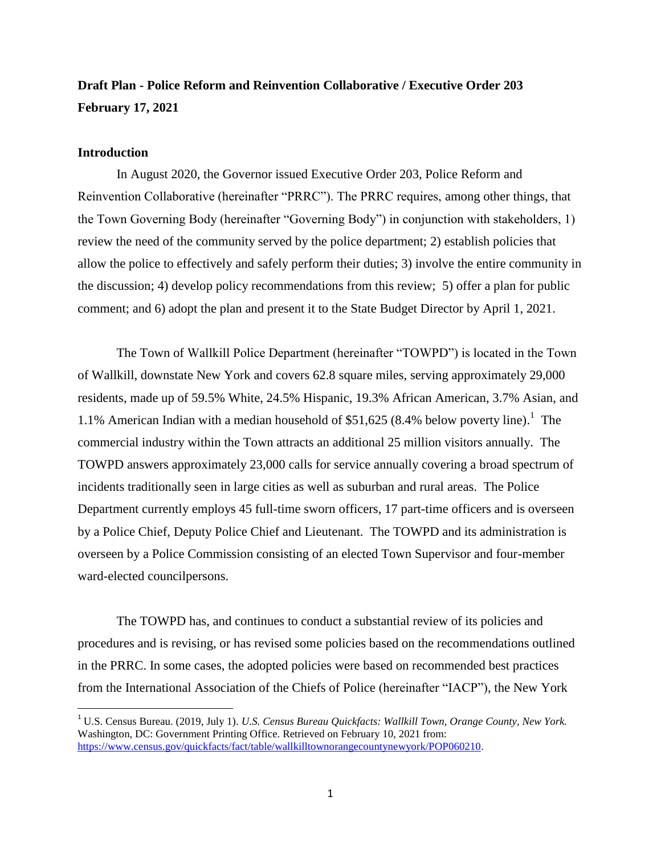# **Draft Plan - Police Reform and Reinvention Collaborative / Executive Order 203 February 17, 2021**

### **Introduction**

l

In August 2020, the Governor issued Executive Order 203, Police Reform and Reinvention Collaborative (hereinafter "PRRC"). The PRRC requires, among other things, that the Town Governing Body (hereinafter "Governing Body") in conjunction with stakeholders, 1) review the need of the community served by the police department; 2) establish policies that allow the police to effectively and safely perform their duties; 3) involve the entire community in the discussion; 4) develop policy recommendations from this review; 5) offer a plan for public comment; and 6) adopt the plan and present it to the State Budget Director by April 1, 2021.

The Town of Wallkill Police Department (hereinafter "TOWPD") is located in the Town of Wallkill, downstate New York and covers 62.8 square miles, serving approximately 29,000 residents, made up of 59.5% White, 24.5% Hispanic, 19.3% African American, 3.7% Asian, and 1.1% American Indian with a median household of  $$51,625$  (8.4% below poverty line).<sup>1</sup> The commercial industry within the Town attracts an additional 25 million visitors annually. The TOWPD answers approximately 23,000 calls for service annually covering a broad spectrum of incidents traditionally seen in large cities as well as suburban and rural areas. The Police Department currently employs 45 full-time sworn officers, 17 part-time officers and is overseen by a Police Chief, Deputy Police Chief and Lieutenant. The TOWPD and its administration is overseen by a Police Commission consisting of an elected Town Supervisor and four-member ward-elected councilpersons.

The TOWPD has, and continues to conduct a substantial review of its policies and procedures and is revising, or has revised some policies based on the recommendations outlined in the PRRC. In some cases, the adopted policies were based on recommended best practices from the International Association of the Chiefs of Police (hereinafter "IACP"), the New York

<sup>1</sup> U.S. Census Bureau. (2019, July 1). *U.S. Census Bureau Quickfacts: Wallkill Town, Orange County, New York.*  Washington, DC: Government Printing Office. Retrieved on February 10, 2021 from: [https://www.census.gov/quickfacts/fact/table/wallkilltownorangecountynewyork/POP060210.](https://www.census.gov/quickfacts/fact/table/wallkilltownorangecountynewyork/POP060210)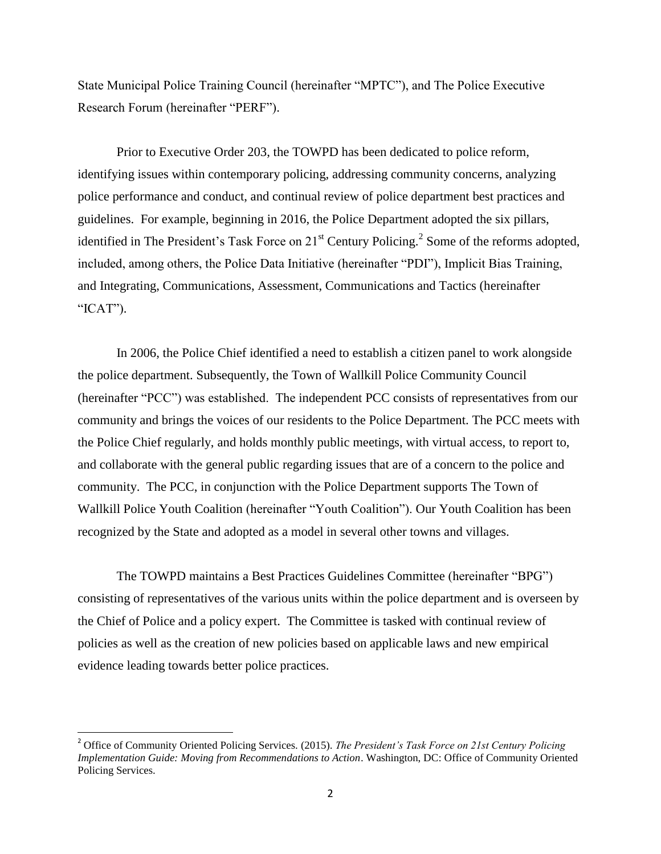State Municipal Police Training Council (hereinafter "MPTC"), and The Police Executive Research Forum (hereinafter "PERF").

Prior to Executive Order 203, the TOWPD has been dedicated to police reform, identifying issues within contemporary policing, addressing community concerns, analyzing police performance and conduct, and continual review of police department best practices and guidelines. For example, beginning in 2016, the Police Department adopted the six pillars, identified in The President's Task Force on  $21^{st}$  Century Policing.<sup>2</sup> Some of the reforms adopted, included, among others, the Police Data Initiative (hereinafter "PDI"), Implicit Bias Training, and Integrating, Communications, Assessment, Communications and Tactics (hereinafter "ICAT").

In 2006, the Police Chief identified a need to establish a citizen panel to work alongside the police department. Subsequently, the Town of Wallkill Police Community Council (hereinafter "PCC") was established. The independent PCC consists of representatives from our community and brings the voices of our residents to the Police Department. The PCC meets with the Police Chief regularly, and holds monthly public meetings, with virtual access, to report to, and collaborate with the general public regarding issues that are of a concern to the police and community. The PCC, in conjunction with the Police Department supports The Town of Wallkill Police Youth Coalition (hereinafter "Youth Coalition"). Our Youth Coalition has been recognized by the State and adopted as a model in several other towns and villages.

The TOWPD maintains a Best Practices Guidelines Committee (hereinafter "BPG") consisting of representatives of the various units within the police department and is overseen by the Chief of Police and a policy expert. The Committee is tasked with continual review of policies as well as the creation of new policies based on applicable laws and new empirical evidence leading towards better police practices.

 $\overline{\phantom{a}}$ 

<sup>2</sup> Office of Community Oriented Policing Services. (2015). *The President's Task Force on 21st Century Policing Implementation Guide: Moving from Recommendations to Action*. Washington, DC: Office of Community Oriented Policing Services.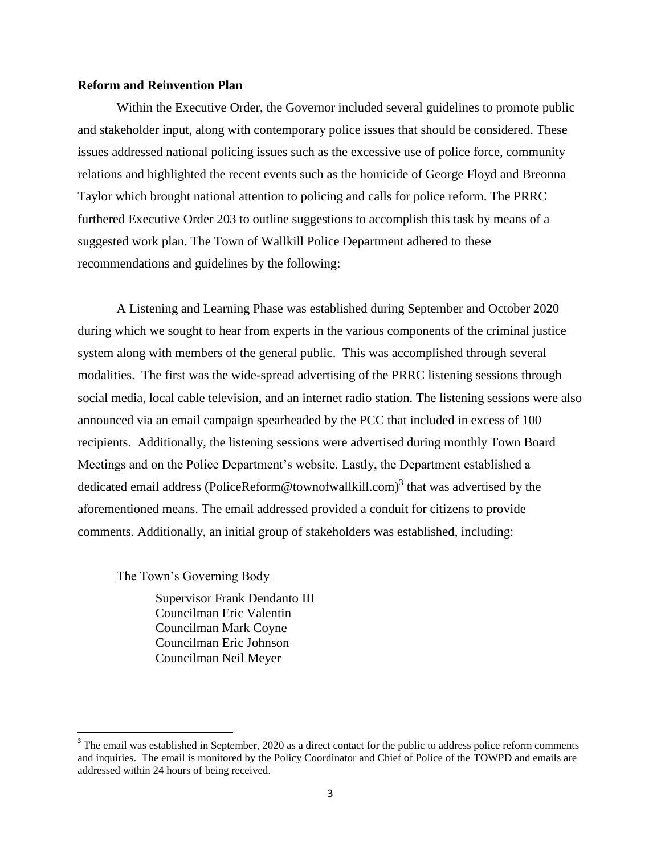### **Reform and Reinvention Plan**

Within the Executive Order, the Governor included several guidelines to promote public and stakeholder input, along with contemporary police issues that should be considered. These issues addressed national policing issues such as the excessive use of police force, community relations and highlighted the recent events such as the homicide of George Floyd and Breonna Taylor which brought national attention to policing and calls for police reform. The PRRC furthered Executive Order 203 to outline suggestions to accomplish this task by means of a suggested work plan. The Town of Wallkill Police Department adhered to these recommendations and guidelines by the following:

A Listening and Learning Phase was established during September and October 2020 during which we sought to hear from experts in the various components of the criminal justice system along with members of the general public. This was accomplished through several modalities. The first was the wide-spread advertising of the PRRC listening sessions through social media, local cable television, and an internet radio station. The listening sessions were also announced via an email campaign spearheaded by the PCC that included in excess of 100 recipients. Additionally, the listening sessions were advertised during monthly Town Board Meetings and on the Police Department's website. Lastly, the Department established a dedicated email address [\(PoliceReform@townofwallkill.com\)](mailto:PoliceReform@townofwallkill.com)<sup>3</sup> that was advertised by the aforementioned means. The email addressed provided a conduit for citizens to provide comments. Additionally, an initial group of stakeholders was established, including:

# The Town's Governing Body

 $\overline{\phantom{a}}$ 

Supervisor Frank Dendanto III Councilman Eric Valentin Councilman Mark Coyne Councilman Eric Johnson Councilman Neil Meyer

 $3$  The email was established in September, 2020 as a direct contact for the public to address police reform comments and inquiries. The email is monitored by the Policy Coordinator and Chief of Police of the TOWPD and emails are addressed within 24 hours of being received.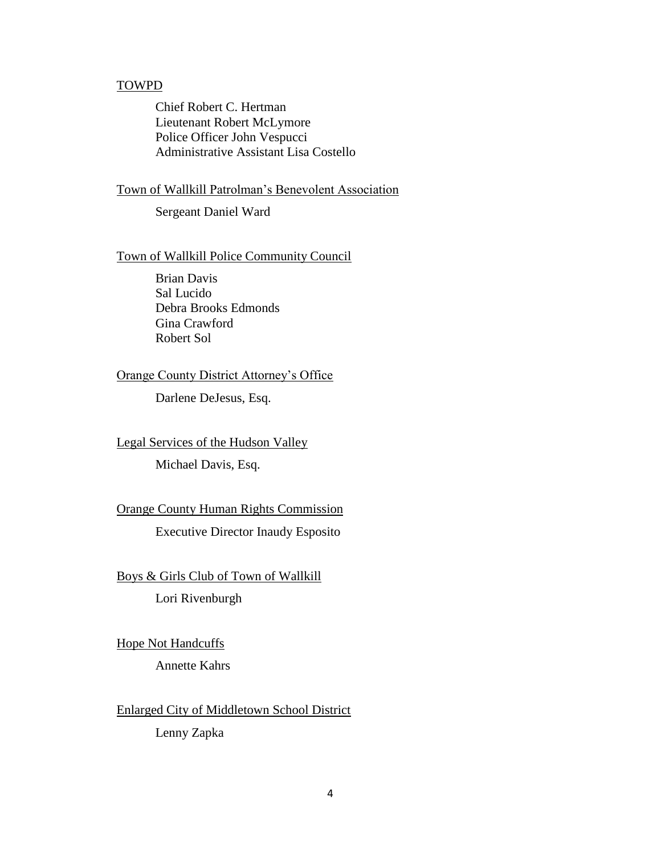### TOWPD

Chief Robert C. Hertman Lieutenant Robert McLymore Police Officer John Vespucci Administrative Assistant Lisa Costello

### Town of Wallkill Patrolman's Benevolent Association

Sergeant Daniel Ward

### Town of Wallkill Police Community Council

Brian Davis Sal Lucido Debra Brooks Edmonds Gina Crawford Robert Sol

## Orange County District Attorney's Office

Darlene DeJesus, Esq.

# Legal Services of the Hudson Valley

Michael Davis, Esq.

# Orange County Human Rights Commission

Executive Director Inaudy Esposito

Boys & Girls Club of Town of Wallkill Lori Rivenburgh

Hope Not Handcuffs Annette Kahrs

Enlarged City of Middletown School District Lenny Zapka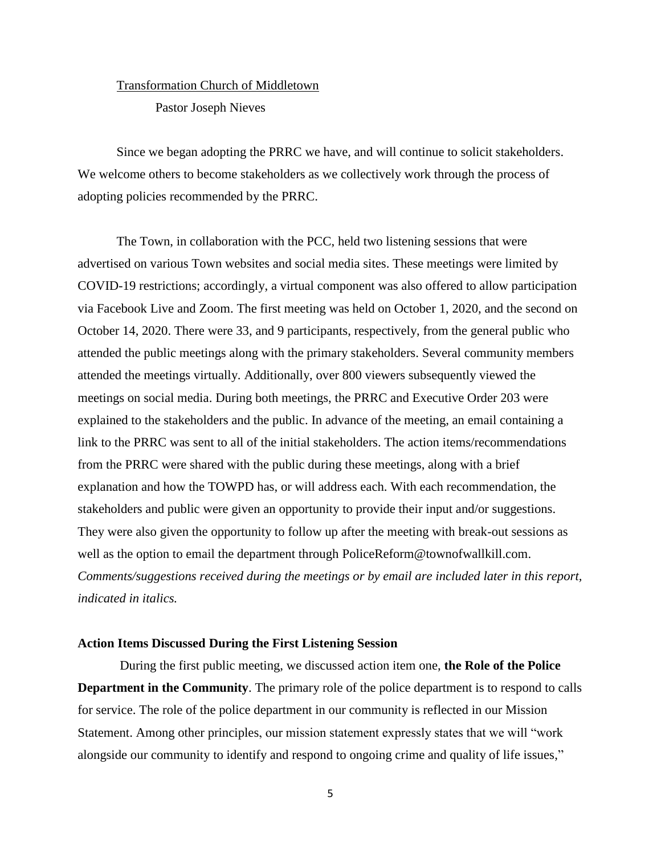# Transformation Church of Middletown

Pastor Joseph Nieves

Since we began adopting the PRRC we have, and will continue to solicit stakeholders. We welcome others to become stakeholders as we collectively work through the process of adopting policies recommended by the PRRC.

The Town, in collaboration with the PCC, held two listening sessions that were advertised on various Town websites and social media sites. These meetings were limited by COVID-19 restrictions; accordingly, a virtual component was also offered to allow participation via Facebook Live and Zoom. The first meeting was held on October 1, 2020, and the second on October 14, 2020. There were 33, and 9 participants, respectively, from the general public who attended the public meetings along with the primary stakeholders. Several community members attended the meetings virtually. Additionally, over 800 viewers subsequently viewed the meetings on social media. During both meetings, the PRRC and Executive Order 203 were explained to the stakeholders and the public. In advance of the meeting, an email containing a link to the PRRC was sent to all of the initial stakeholders. The action items/recommendations from the PRRC were shared with the public during these meetings, along with a brief explanation and how the TOWPD has, or will address each. With each recommendation, the stakeholders and public were given an opportunity to provide their input and/or suggestions. They were also given the opportunity to follow up after the meeting with break-out sessions as well as the option to email the department through PoliceReform@townofwallkill.com. *Comments/suggestions received during the meetings or by email are included later in this report, indicated in italics.*

## **Action Items Discussed During the First Listening Session**

During the first public meeting, we discussed action item one, **the Role of the Police Department in the Community**. The primary role of the police department is to respond to calls for service. The role of the police department in our community is reflected in our Mission Statement. Among other principles, our mission statement expressly states that we will "work alongside our community to identify and respond to ongoing crime and quality of life issues,"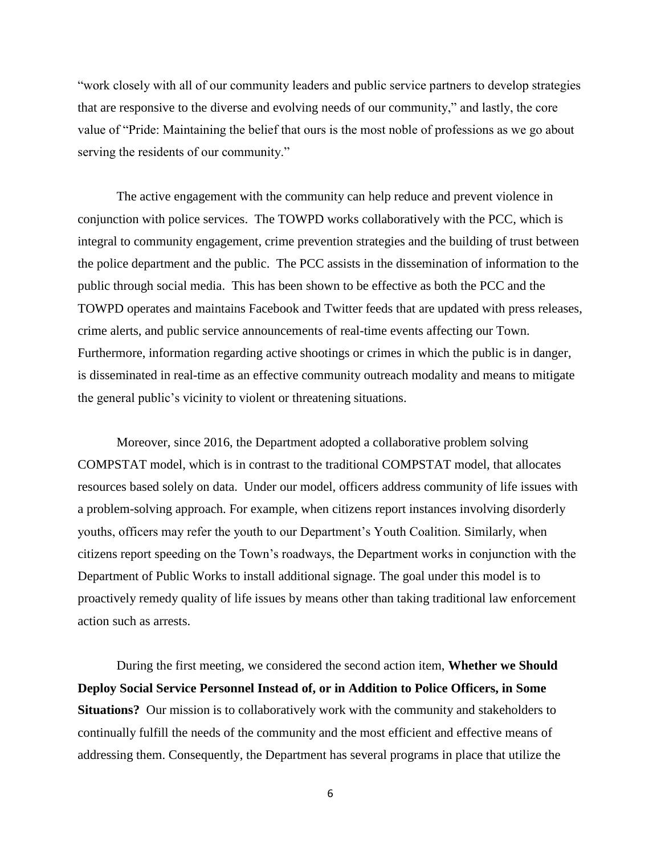"work closely with all of our community leaders and public service partners to develop strategies that are responsive to the diverse and evolving needs of our community," and lastly, the core value of "Pride: Maintaining the belief that ours is the most noble of professions as we go about serving the residents of our community."

The active engagement with the community can help reduce and prevent violence in conjunction with police services. The TOWPD works collaboratively with the PCC, which is integral to community engagement, crime prevention strategies and the building of trust between the police department and the public. The PCC assists in the dissemination of information to the public through social media. This has been shown to be effective as both the PCC and the TOWPD operates and maintains Facebook and Twitter feeds that are updated with press releases, crime alerts, and public service announcements of real-time events affecting our Town. Furthermore, information regarding active shootings or crimes in which the public is in danger, is disseminated in real-time as an effective community outreach modality and means to mitigate the general public's vicinity to violent or threatening situations.

Moreover, since 2016, the Department adopted a collaborative problem solving COMPSTAT model, which is in contrast to the traditional COMPSTAT model, that allocates resources based solely on data. Under our model, officers address community of life issues with a problem-solving approach. For example, when citizens report instances involving disorderly youths, officers may refer the youth to our Department's Youth Coalition. Similarly, when citizens report speeding on the Town's roadways, the Department works in conjunction with the Department of Public Works to install additional signage. The goal under this model is to proactively remedy quality of life issues by means other than taking traditional law enforcement action such as arrests.

During the first meeting, we considered the second action item, **Whether we Should Deploy Social Service Personnel Instead of, or in Addition to Police Officers, in Some Situations?** Our mission is to collaboratively work with the community and stakeholders to continually fulfill the needs of the community and the most efficient and effective means of addressing them. Consequently, the Department has several programs in place that utilize the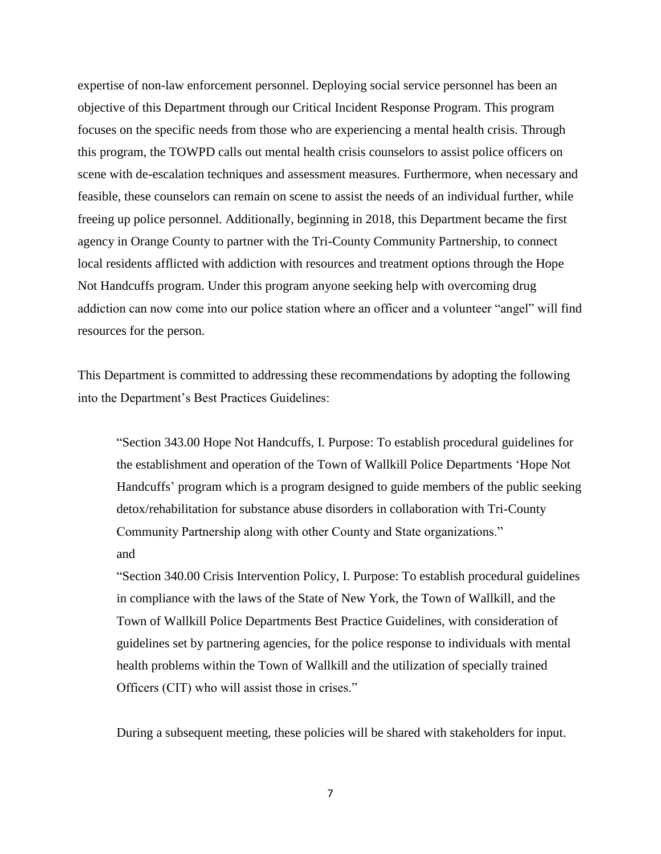expertise of non-law enforcement personnel. Deploying social service personnel has been an objective of this Department through our Critical Incident Response Program. This program focuses on the specific needs from those who are experiencing a mental health crisis. Through this program, the TOWPD calls out mental health crisis counselors to assist police officers on scene with de-escalation techniques and assessment measures. Furthermore, when necessary and feasible, these counselors can remain on scene to assist the needs of an individual further, while freeing up police personnel. Additionally, beginning in 2018, this Department became the first agency in Orange County to partner with the Tri-County Community Partnership, to connect local residents afflicted with addiction with resources and treatment options through the Hope Not Handcuffs program. Under this program anyone seeking help with overcoming drug addiction can now come into our police station where an officer and a volunteer "angel" will find resources for the person.

This Department is committed to addressing these recommendations by adopting the following into the Department's Best Practices Guidelines:

"Section 343.00 Hope Not Handcuffs, I. Purpose: To establish procedural guidelines for the establishment and operation of the Town of Wallkill Police Departments 'Hope Not Handcuffs' program which is a program designed to guide members of the public seeking detox/rehabilitation for substance abuse disorders in collaboration with Tri-County Community Partnership along with other County and State organizations." and

"Section 340.00 Crisis Intervention Policy, I. Purpose: To establish procedural guidelines in compliance with the laws of the State of New York, the Town of Wallkill, and the Town of Wallkill Police Departments Best Practice Guidelines, with consideration of guidelines set by partnering agencies, for the police response to individuals with mental health problems within the Town of Wallkill and the utilization of specially trained Officers (CIT) who will assist those in crises."

During a subsequent meeting, these policies will be shared with stakeholders for input.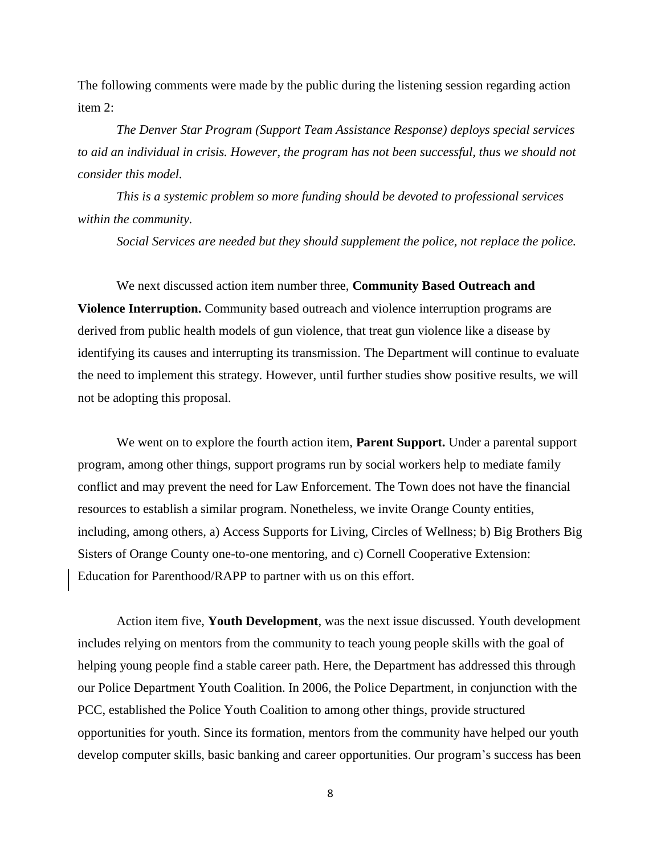The following comments were made by the public during the listening session regarding action item 2:

*The Denver Star Program (Support Team Assistance Response) deploys special services to aid an individual in crisis. However, the program has not been successful, thus we should not consider this model.*

*This is a systemic problem so more funding should be devoted to professional services within the community.*

*Social Services are needed but they should supplement the police, not replace the police.*

We next discussed action item number three, **Community Based Outreach and Violence Interruption.** Community based outreach and violence interruption programs are derived from public health models of gun violence, that treat gun violence like a disease by identifying its causes and interrupting its transmission. The Department will continue to evaluate the need to implement this strategy. However, until further studies show positive results, we will not be adopting this proposal.

We went on to explore the fourth action item, **Parent Support.** Under a parental support program, among other things, support programs run by social workers help to mediate family conflict and may prevent the need for Law Enforcement. The Town does not have the financial resources to establish a similar program. Nonetheless, we invite Orange County entities, including, among others, a) Access Supports for Living, Circles of Wellness; b) Big Brothers Big Sisters of Orange County one-to-one mentoring, and c) Cornell Cooperative Extension: Education for Parenthood/RAPP to partner with us on this effort.

Action item five, **Youth Development**, was the next issue discussed. Youth development includes relying on mentors from the community to teach young people skills with the goal of helping young people find a stable career path. Here, the Department has addressed this through our Police Department Youth Coalition. In 2006, the Police Department, in conjunction with the PCC, established the Police Youth Coalition to among other things, provide structured opportunities for youth. Since its formation, mentors from the community have helped our youth develop computer skills, basic banking and career opportunities. Our program's success has been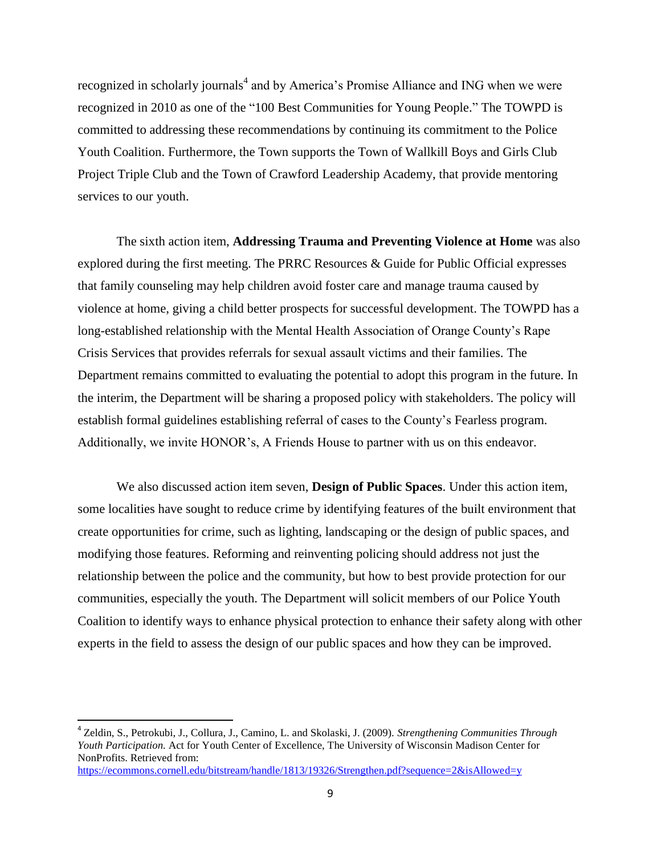recognized in scholarly journals<sup>4</sup> and by America's Promise Alliance and ING when we were recognized in 2010 as one of the "100 Best Communities for Young People." The TOWPD is committed to addressing these recommendations by continuing its commitment to the Police Youth Coalition. Furthermore, the Town supports the Town of Wallkill Boys and Girls Club Project Triple Club and the Town of Crawford Leadership Academy, that provide mentoring services to our youth.

The sixth action item, **Addressing Trauma and Preventing Violence at Home** was also explored during the first meeting. The PRRC Resources & Guide for Public Official expresses that family counseling may help children avoid foster care and manage trauma caused by violence at home, giving a child better prospects for successful development. The TOWPD has a long-established relationship with the Mental Health Association of Orange County's Rape Crisis Services that provides referrals for sexual assault victims and their families. The Department remains committed to evaluating the potential to adopt this program in the future. In the interim, the Department will be sharing a proposed policy with stakeholders. The policy will establish formal guidelines establishing referral of cases to the County's Fearless program. Additionally, we invite HONOR's, A Friends House to partner with us on this endeavor.

We also discussed action item seven, **Design of Public Spaces**. Under this action item, some localities have sought to reduce crime by identifying features of the built environment that create opportunities for crime, such as lighting, landscaping or the design of public spaces, and modifying those features. Reforming and reinventing policing should address not just the relationship between the police and the community, but how to best provide protection for our communities, especially the youth. The Department will solicit members of our Police Youth Coalition to identify ways to enhance physical protection to enhance their safety along with other experts in the field to assess the design of our public spaces and how they can be improved.

 $\overline{\phantom{a}}$ 

<sup>4</sup> Zeldin, S., Petrokubi, J., Collura, J., Camino, L. and Skolaski, J. (2009). *Strengthening Communities Through Youth Participation.* Act for Youth Center of Excellence, The University of Wisconsin Madison Center for NonProfits. Retrieved from:

<https://ecommons.cornell.edu/bitstream/handle/1813/19326/Strengthen.pdf?sequence=2&isAllowed=y>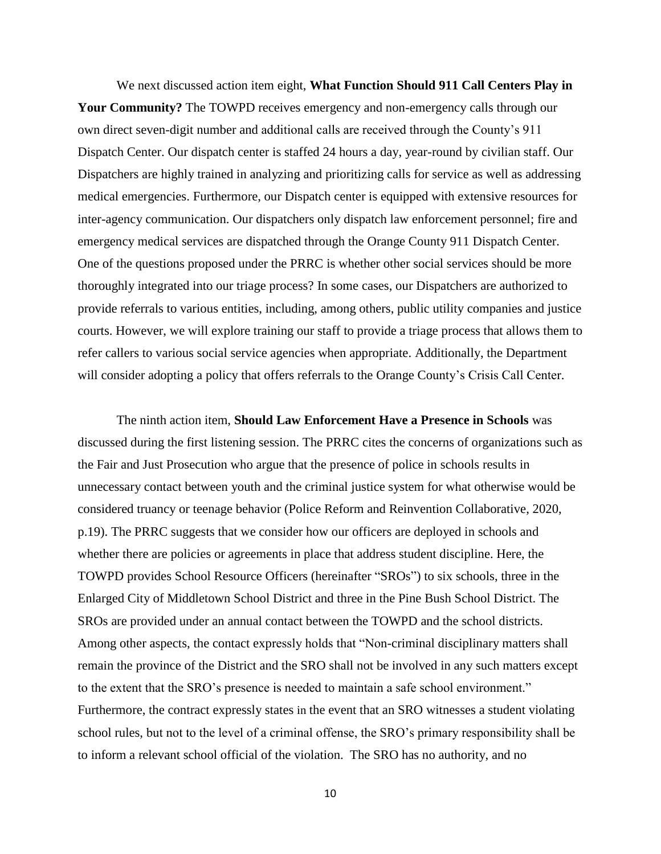We next discussed action item eight, **What Function Should 911 Call Centers Play in Your Community?** The TOWPD receives emergency and non-emergency calls through our own direct seven-digit number and additional calls are received through the County's 911 Dispatch Center. Our dispatch center is staffed 24 hours a day, year-round by civilian staff. Our Dispatchers are highly trained in analyzing and prioritizing calls for service as well as addressing medical emergencies. Furthermore, our Dispatch center is equipped with extensive resources for inter-agency communication. Our dispatchers only dispatch law enforcement personnel; fire and emergency medical services are dispatched through the Orange County 911 Dispatch Center. One of the questions proposed under the PRRC is whether other social services should be more thoroughly integrated into our triage process? In some cases, our Dispatchers are authorized to provide referrals to various entities, including, among others, public utility companies and justice courts. However, we will explore training our staff to provide a triage process that allows them to refer callers to various social service agencies when appropriate. Additionally, the Department will consider adopting a policy that offers referrals to the Orange County's Crisis Call Center.

The ninth action item, **Should Law Enforcement Have a Presence in Schools** was discussed during the first listening session. The PRRC cites the concerns of organizations such as the Fair and Just Prosecution who argue that the presence of police in schools results in unnecessary contact between youth and the criminal justice system for what otherwise would be considered truancy or teenage behavior (Police Reform and Reinvention Collaborative, 2020, p.19). The PRRC suggests that we consider how our officers are deployed in schools and whether there are policies or agreements in place that address student discipline. Here, the TOWPD provides School Resource Officers (hereinafter "SROs") to six schools, three in the Enlarged City of Middletown School District and three in the Pine Bush School District. The SROs are provided under an annual contact between the TOWPD and the school districts. Among other aspects, the contact expressly holds that "Non-criminal disciplinary matters shall remain the province of the District and the SRO shall not be involved in any such matters except to the extent that the SRO's presence is needed to maintain a safe school environment." Furthermore, the contract expressly states in the event that an SRO witnesses a student violating school rules, but not to the level of a criminal offense, the SRO's primary responsibility shall be to inform a relevant school official of the violation. The SRO has no authority, and no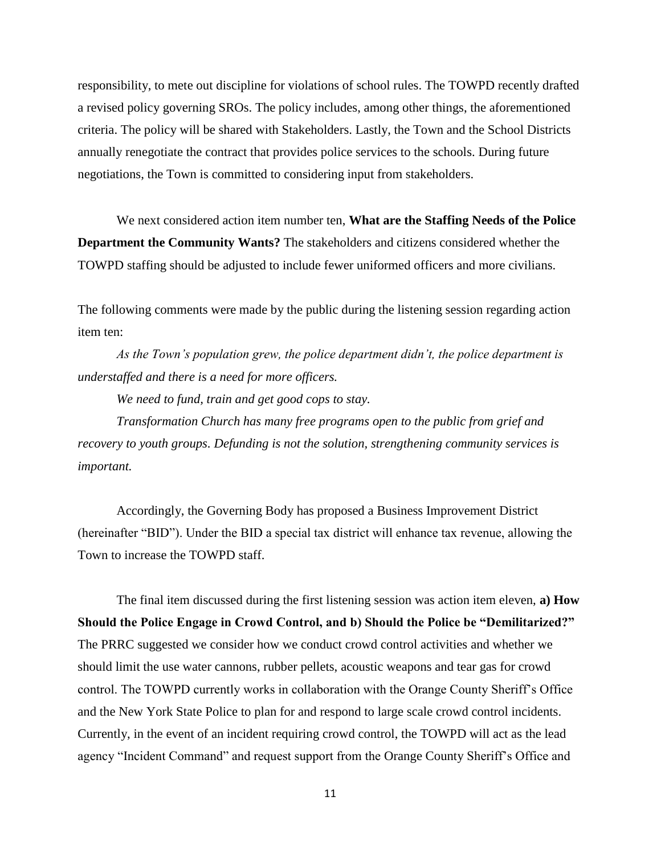responsibility, to mete out discipline for violations of school rules. The TOWPD recently drafted a revised policy governing SROs. The policy includes, among other things, the aforementioned criteria. The policy will be shared with Stakeholders. Lastly, the Town and the School Districts annually renegotiate the contract that provides police services to the schools. During future negotiations, the Town is committed to considering input from stakeholders.

We next considered action item number ten, **What are the Staffing Needs of the Police Department the Community Wants?** The stakeholders and citizens considered whether the TOWPD staffing should be adjusted to include fewer uniformed officers and more civilians.

The following comments were made by the public during the listening session regarding action item ten:

*As the Town's population grew, the police department didn't, the police department is understaffed and there is a need for more officers.*

*We need to fund, train and get good cops to stay.* 

*Transformation Church has many free programs open to the public from grief and recovery to youth groups. Defunding is not the solution, strengthening community services is important.*

Accordingly, the Governing Body has proposed a Business Improvement District (hereinafter "BID"). Under the BID a special tax district will enhance tax revenue, allowing the Town to increase the TOWPD staff.

The final item discussed during the first listening session was action item eleven, **a) How Should the Police Engage in Crowd Control, and b) Should the Police be "Demilitarized?"** The PRRC suggested we consider how we conduct crowd control activities and whether we should limit the use water cannons, rubber pellets, acoustic weapons and tear gas for crowd control. The TOWPD currently works in collaboration with the Orange County Sheriff's Office and the New York State Police to plan for and respond to large scale crowd control incidents. Currently, in the event of an incident requiring crowd control, the TOWPD will act as the lead agency "Incident Command" and request support from the Orange County Sheriff's Office and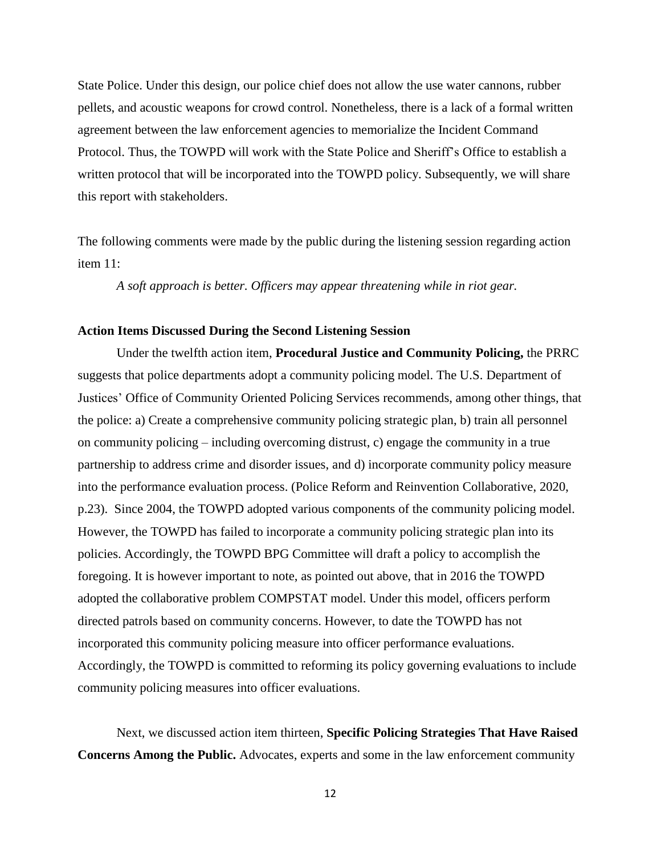State Police. Under this design, our police chief does not allow the use water cannons, rubber pellets, and acoustic weapons for crowd control. Nonetheless, there is a lack of a formal written agreement between the law enforcement agencies to memorialize the Incident Command Protocol. Thus, the TOWPD will work with the State Police and Sheriff's Office to establish a written protocol that will be incorporated into the TOWPD policy. Subsequently, we will share this report with stakeholders.

The following comments were made by the public during the listening session regarding action item 11:

*A soft approach is better. Officers may appear threatening while in riot gear.*

#### **Action Items Discussed During the Second Listening Session**

Under the twelfth action item, **Procedural Justice and Community Policing,** the PRRC suggests that police departments adopt a community policing model. The U.S. Department of Justices' Office of Community Oriented Policing Services recommends, among other things, that the police: a) Create a comprehensive community policing strategic plan, b) train all personnel on community policing – including overcoming distrust, c) engage the community in a true partnership to address crime and disorder issues, and d) incorporate community policy measure into the performance evaluation process. (Police Reform and Reinvention Collaborative, 2020, p.23). Since 2004, the TOWPD adopted various components of the community policing model. However, the TOWPD has failed to incorporate a community policing strategic plan into its policies. Accordingly, the TOWPD BPG Committee will draft a policy to accomplish the foregoing. It is however important to note, as pointed out above, that in 2016 the TOWPD adopted the collaborative problem COMPSTAT model. Under this model, officers perform directed patrols based on community concerns. However, to date the TOWPD has not incorporated this community policing measure into officer performance evaluations. Accordingly, the TOWPD is committed to reforming its policy governing evaluations to include community policing measures into officer evaluations.

Next, we discussed action item thirteen, **Specific Policing Strategies That Have Raised Concerns Among the Public.** Advocates, experts and some in the law enforcement community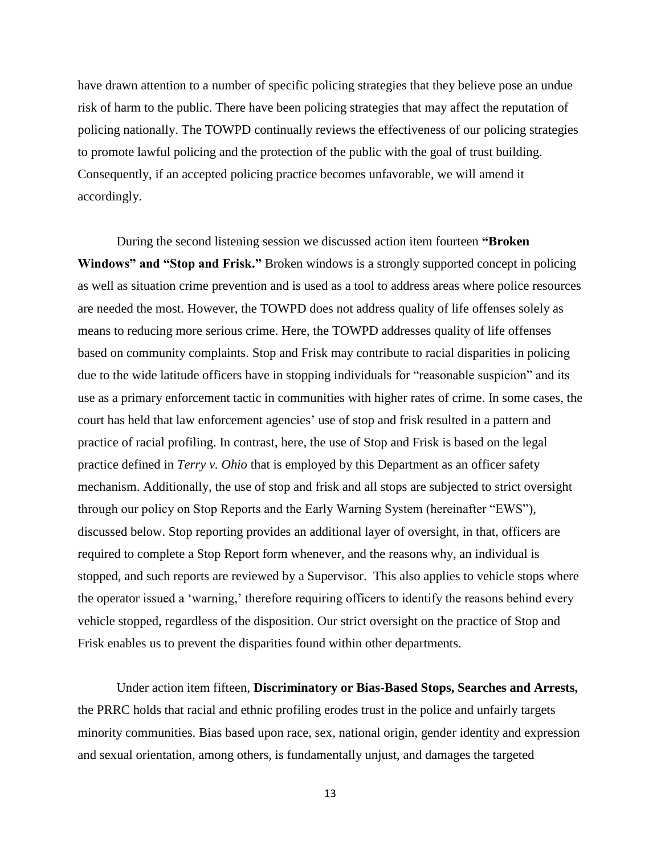have drawn attention to a number of specific policing strategies that they believe pose an undue risk of harm to the public. There have been policing strategies that may affect the reputation of policing nationally. The TOWPD continually reviews the effectiveness of our policing strategies to promote lawful policing and the protection of the public with the goal of trust building. Consequently, if an accepted policing practice becomes unfavorable, we will amend it accordingly.

During the second listening session we discussed action item fourteen **"Broken Windows" and "Stop and Frisk."** Broken windows is a strongly supported concept in policing as well as situation crime prevention and is used as a tool to address areas where police resources are needed the most. However, the TOWPD does not address quality of life offenses solely as means to reducing more serious crime. Here, the TOWPD addresses quality of life offenses based on community complaints. Stop and Frisk may contribute to racial disparities in policing due to the wide latitude officers have in stopping individuals for "reasonable suspicion" and its use as a primary enforcement tactic in communities with higher rates of crime. In some cases, the court has held that law enforcement agencies' use of stop and frisk resulted in a pattern and practice of racial profiling. In contrast, here, the use of Stop and Frisk is based on the legal practice defined in *Terry v. Ohio* that is employed by this Department as an officer safety mechanism. Additionally, the use of stop and frisk and all stops are subjected to strict oversight through our policy on Stop Reports and the Early Warning System (hereinafter "EWS"), discussed below. Stop reporting provides an additional layer of oversight, in that, officers are required to complete a Stop Report form whenever, and the reasons why, an individual is stopped, and such reports are reviewed by a Supervisor. This also applies to vehicle stops where the operator issued a 'warning,' therefore requiring officers to identify the reasons behind every vehicle stopped, regardless of the disposition. Our strict oversight on the practice of Stop and Frisk enables us to prevent the disparities found within other departments.

Under action item fifteen, **Discriminatory or Bias-Based Stops, Searches and Arrests,** the PRRC holds that racial and ethnic profiling erodes trust in the police and unfairly targets minority communities. Bias based upon race, sex, national origin, gender identity and expression and sexual orientation, among others, is fundamentally unjust, and damages the targeted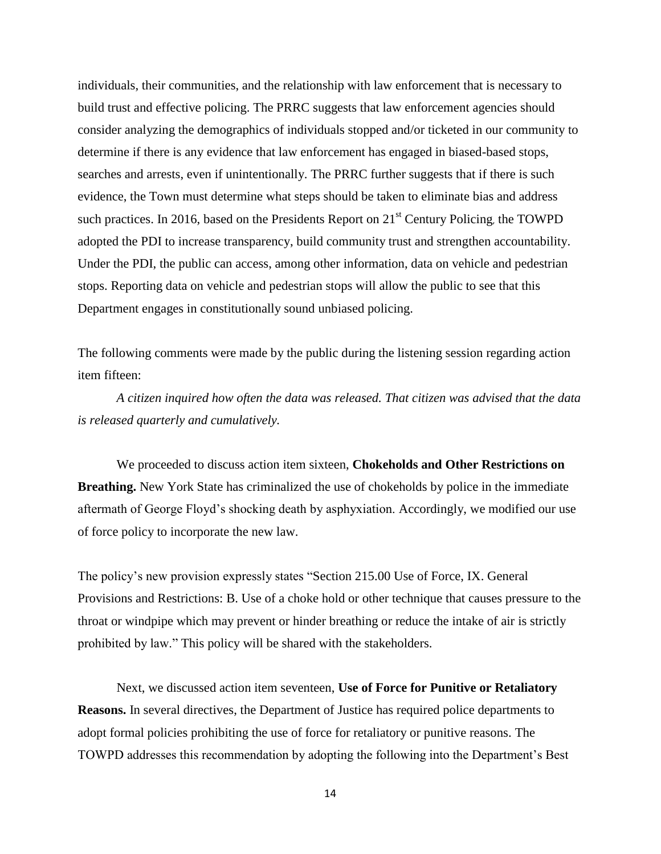individuals, their communities, and the relationship with law enforcement that is necessary to build trust and effective policing. The PRRC suggests that law enforcement agencies should consider analyzing the demographics of individuals stopped and/or ticketed in our community to determine if there is any evidence that law enforcement has engaged in biased-based stops, searches and arrests, even if unintentionally. The PRRC further suggests that if there is such evidence, the Town must determine what steps should be taken to eliminate bias and address such practices. In 2016, based on the Presidents Report on  $21<sup>st</sup>$  Century Policing, the TOWPD adopted the PDI to increase transparency, build community trust and strengthen accountability. Under the PDI, the public can access, among other information, data on vehicle and pedestrian stops. Reporting data on vehicle and pedestrian stops will allow the public to see that this Department engages in constitutionally sound unbiased policing.

The following comments were made by the public during the listening session regarding action item fifteen:

*A citizen inquired how often the data was released. That citizen was advised that the data is released quarterly and cumulatively.*

We proceeded to discuss action item sixteen, **Chokeholds and Other Restrictions on Breathing.** New York State has criminalized the use of chokeholds by police in the immediate aftermath of George Floyd's shocking death by asphyxiation. Accordingly, we modified our use of force policy to incorporate the new law.

The policy's new provision expressly states "Section 215.00 Use of Force, IX. General Provisions and Restrictions: B. Use of a choke hold or other technique that causes pressure to the throat or windpipe which may prevent or hinder breathing or reduce the intake of air is strictly prohibited by law." This policy will be shared with the stakeholders.

Next, we discussed action item seventeen, **Use of Force for Punitive or Retaliatory Reasons.** In several directives, the Department of Justice has required police departments to adopt formal policies prohibiting the use of force for retaliatory or punitive reasons. The TOWPD addresses this recommendation by adopting the following into the Department's Best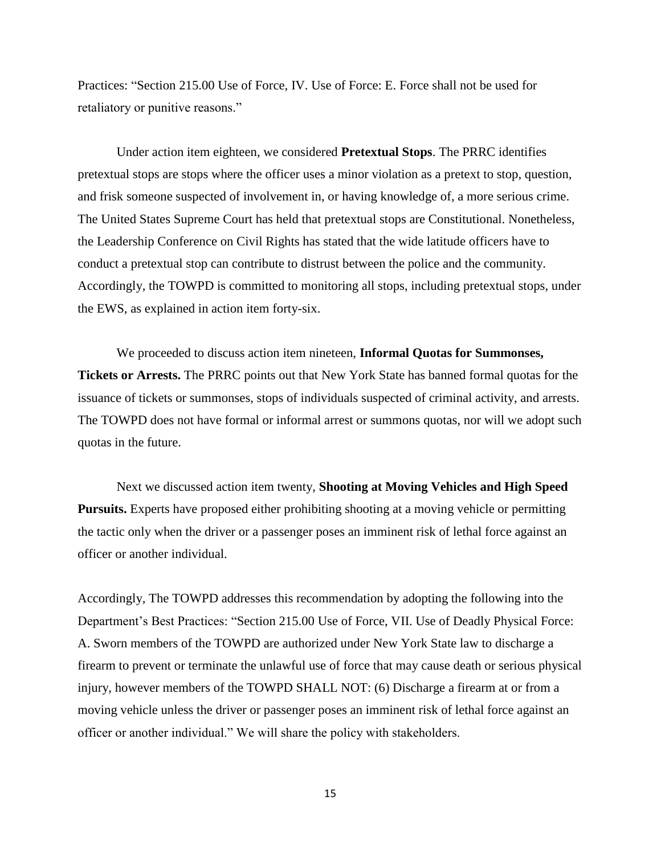Practices: "Section 215.00 Use of Force, IV. Use of Force: E. Force shall not be used for retaliatory or punitive reasons."

Under action item eighteen, we considered **Pretextual Stops**. The PRRC identifies pretextual stops are stops where the officer uses a minor violation as a pretext to stop, question, and frisk someone suspected of involvement in, or having knowledge of, a more serious crime. The United States Supreme Court has held that pretextual stops are Constitutional. Nonetheless, the Leadership Conference on Civil Rights has stated that the wide latitude officers have to conduct a pretextual stop can contribute to distrust between the police and the community. Accordingly, the TOWPD is committed to monitoring all stops, including pretextual stops, under the EWS, as explained in action item forty-six.

We proceeded to discuss action item nineteen, **Informal Quotas for Summonses, Tickets or Arrests.** The PRRC points out that New York State has banned formal quotas for the issuance of tickets or summonses, stops of individuals suspected of criminal activity, and arrests. The TOWPD does not have formal or informal arrest or summons quotas, nor will we adopt such quotas in the future.

Next we discussed action item twenty, **Shooting at Moving Vehicles and High Speed Pursuits.** Experts have proposed either prohibiting shooting at a moving vehicle or permitting the tactic only when the driver or a passenger poses an imminent risk of lethal force against an officer or another individual.

Accordingly, The TOWPD addresses this recommendation by adopting the following into the Department's Best Practices: "Section 215.00 Use of Force, VII. Use of Deadly Physical Force: A. Sworn members of the TOWPD are authorized under New York State law to discharge a firearm to prevent or terminate the unlawful use of force that may cause death or serious physical injury, however members of the TOWPD SHALL NOT: (6) Discharge a firearm at or from a moving vehicle unless the driver or passenger poses an imminent risk of lethal force against an officer or another individual." We will share the policy with stakeholders.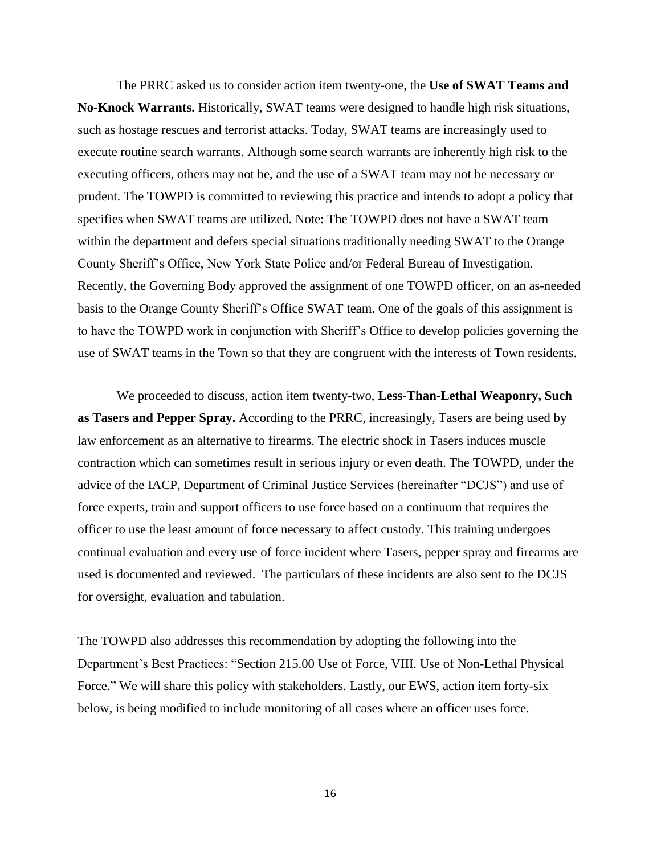The PRRC asked us to consider action item twenty-one, the **Use of SWAT Teams and No-Knock Warrants.** Historically, SWAT teams were designed to handle high risk situations, such as hostage rescues and terrorist attacks. Today, SWAT teams are increasingly used to execute routine search warrants. Although some search warrants are inherently high risk to the executing officers, others may not be, and the use of a SWAT team may not be necessary or prudent. The TOWPD is committed to reviewing this practice and intends to adopt a policy that specifies when SWAT teams are utilized. Note: The TOWPD does not have a SWAT team within the department and defers special situations traditionally needing SWAT to the Orange County Sheriff's Office, New York State Police and/or Federal Bureau of Investigation. Recently, the Governing Body approved the assignment of one TOWPD officer, on an as-needed basis to the Orange County Sheriff's Office SWAT team. One of the goals of this assignment is to have the TOWPD work in conjunction with Sheriff's Office to develop policies governing the use of SWAT teams in the Town so that they are congruent with the interests of Town residents.

We proceeded to discuss, action item twenty-two, **Less-Than-Lethal Weaponry, Such as Tasers and Pepper Spray.** According to the PRRC, increasingly, Tasers are being used by law enforcement as an alternative to firearms. The electric shock in Tasers induces muscle contraction which can sometimes result in serious injury or even death. The TOWPD, under the advice of the IACP, Department of Criminal Justice Services (hereinafter "DCJS") and use of force experts, train and support officers to use force based on a continuum that requires the officer to use the least amount of force necessary to affect custody. This training undergoes continual evaluation and every use of force incident where Tasers, pepper spray and firearms are used is documented and reviewed. The particulars of these incidents are also sent to the DCJS for oversight, evaluation and tabulation.

The TOWPD also addresses this recommendation by adopting the following into the Department's Best Practices: "Section 215.00 Use of Force, VIII. Use of Non-Lethal Physical Force." We will share this policy with stakeholders. Lastly, our EWS, action item forty-six below, is being modified to include monitoring of all cases where an officer uses force.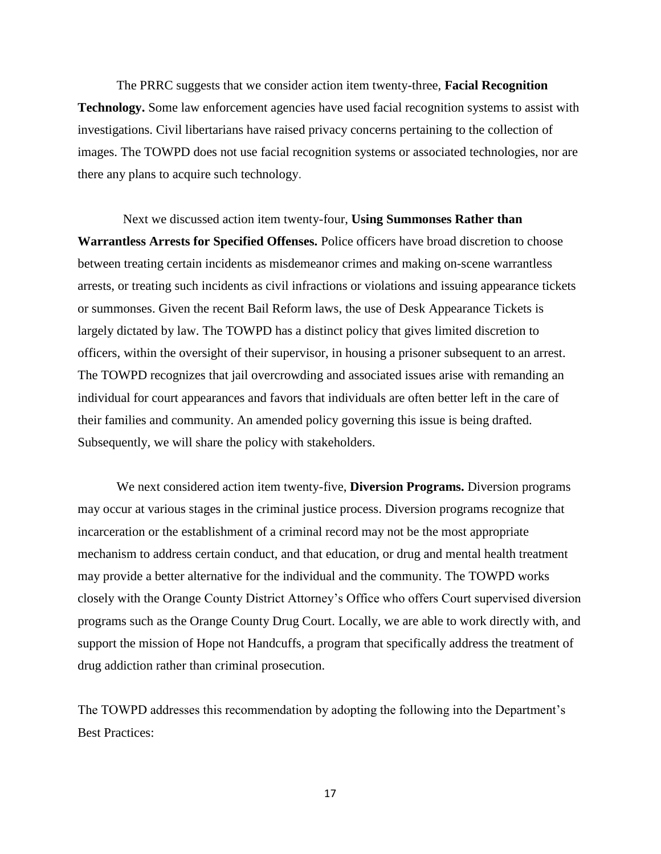The PRRC suggests that we consider action item twenty-three, **Facial Recognition Technology.** Some law enforcement agencies have used facial recognition systems to assist with investigations. Civil libertarians have raised privacy concerns pertaining to the collection of images. The TOWPD does not use facial recognition systems or associated technologies, nor are there any plans to acquire such technology.

 Next we discussed action item twenty-four, **Using Summonses Rather than Warrantless Arrests for Specified Offenses.** Police officers have broad discretion to choose between treating certain incidents as misdemeanor crimes and making on-scene warrantless arrests, or treating such incidents as civil infractions or violations and issuing appearance tickets or summonses. Given the recent Bail Reform laws, the use of Desk Appearance Tickets is largely dictated by law. The TOWPD has a distinct policy that gives limited discretion to officers, within the oversight of their supervisor, in housing a prisoner subsequent to an arrest. The TOWPD recognizes that jail overcrowding and associated issues arise with remanding an individual for court appearances and favors that individuals are often better left in the care of their families and community. An amended policy governing this issue is being drafted. Subsequently, we will share the policy with stakeholders.

We next considered action item twenty-five, **Diversion Programs.** Diversion programs may occur at various stages in the criminal justice process. Diversion programs recognize that incarceration or the establishment of a criminal record may not be the most appropriate mechanism to address certain conduct, and that education, or drug and mental health treatment may provide a better alternative for the individual and the community. The TOWPD works closely with the Orange County District Attorney's Office who offers Court supervised diversion programs such as the Orange County Drug Court. Locally, we are able to work directly with, and support the mission of Hope not Handcuffs, a program that specifically address the treatment of drug addiction rather than criminal prosecution.

The TOWPD addresses this recommendation by adopting the following into the Department's Best Practices: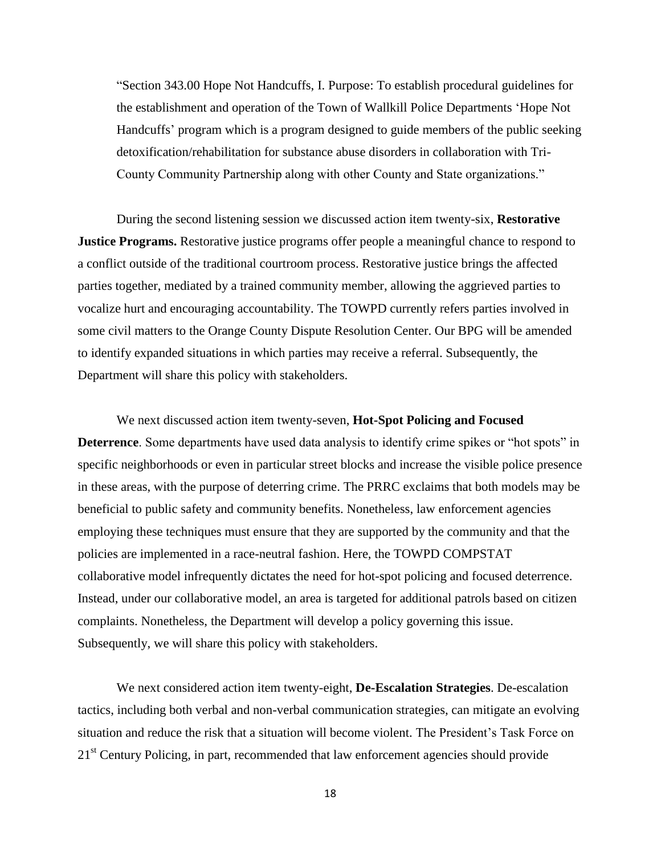"Section 343.00 Hope Not Handcuffs, I. Purpose: To establish procedural guidelines for the establishment and operation of the Town of Wallkill Police Departments 'Hope Not Handcuffs' program which is a program designed to guide members of the public seeking detoxification/rehabilitation for substance abuse disorders in collaboration with Tri-County Community Partnership along with other County and State organizations."

During the second listening session we discussed action item twenty-six, **Restorative Justice Programs.** Restorative justice programs offer people a meaningful chance to respond to a conflict outside of the traditional courtroom process. Restorative justice brings the affected parties together, mediated by a trained community member, allowing the aggrieved parties to vocalize hurt and encouraging accountability. The TOWPD currently refers parties involved in some civil matters to the Orange County Dispute Resolution Center. Our BPG will be amended to identify expanded situations in which parties may receive a referral. Subsequently, the Department will share this policy with stakeholders.

We next discussed action item twenty-seven, **Hot-Spot Policing and Focused Deterrence**. Some departments have used data analysis to identify crime spikes or "hot spots" in specific neighborhoods or even in particular street blocks and increase the visible police presence in these areas, with the purpose of deterring crime. The PRRC exclaims that both models may be beneficial to public safety and community benefits. Nonetheless, law enforcement agencies employing these techniques must ensure that they are supported by the community and that the policies are implemented in a race-neutral fashion. Here, the TOWPD COMPSTAT collaborative model infrequently dictates the need for hot-spot policing and focused deterrence. Instead, under our collaborative model, an area is targeted for additional patrols based on citizen complaints. Nonetheless, the Department will develop a policy governing this issue. Subsequently, we will share this policy with stakeholders.

We next considered action item twenty-eight, **De-Escalation Strategies**. De-escalation tactics, including both verbal and non-verbal communication strategies, can mitigate an evolving situation and reduce the risk that a situation will become violent. The President's Task Force on 21<sup>st</sup> Century Policing, in part, recommended that law enforcement agencies should provide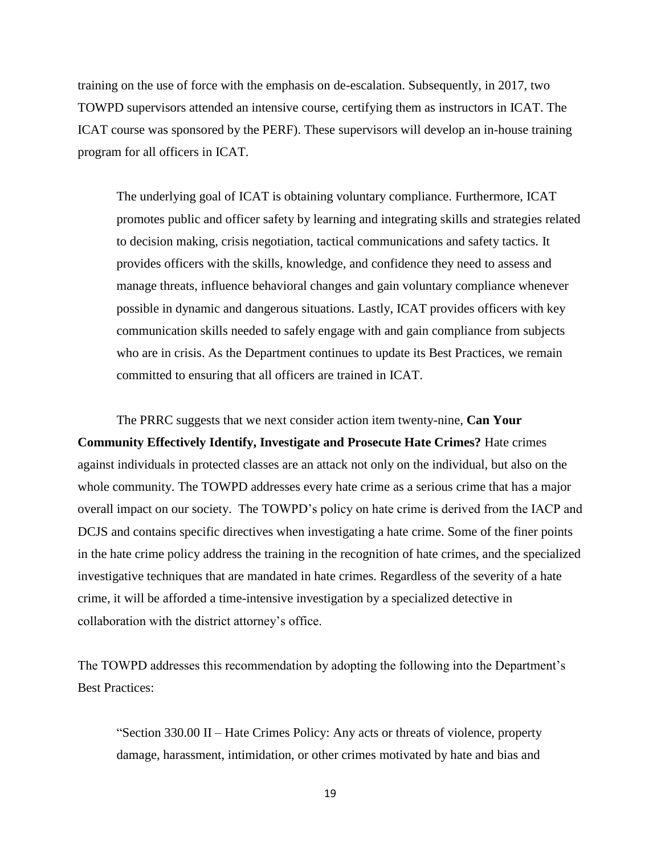training on the use of force with the emphasis on de-escalation. Subsequently, in 2017, two TOWPD supervisors attended an intensive course, certifying them as instructors in ICAT. The ICAT course was sponsored by the PERF). These supervisors will develop an in-house training program for all officers in ICAT.

The underlying goal of ICAT is obtaining voluntary compliance. Furthermore, ICAT promotes public and officer safety by learning and integrating skills and strategies related to decision making, crisis negotiation, tactical communications and safety tactics. It provides officers with the skills, knowledge, and confidence they need to assess and manage threats, influence behavioral changes and gain voluntary compliance whenever possible in dynamic and dangerous situations. Lastly, ICAT provides officers with key communication skills needed to safely engage with and gain compliance from subjects who are in crisis. As the Department continues to update its Best Practices, we remain committed to ensuring that all officers are trained in ICAT.

The PRRC suggests that we next consider action item twenty-nine, **Can Your Community Effectively Identify, Investigate and Prosecute Hate Crimes?** Hate crimes against individuals in protected classes are an attack not only on the individual, but also on the whole community. The TOWPD addresses every hate crime as a serious crime that has a major overall impact on our society. The TOWPD's policy on hate crime is derived from the IACP and DCJS and contains specific directives when investigating a hate crime. Some of the finer points in the hate crime policy address the training in the recognition of hate crimes, and the specialized investigative techniques that are mandated in hate crimes. Regardless of the severity of a hate crime, it will be afforded a time-intensive investigation by a specialized detective in collaboration with the district attorney's office.

The TOWPD addresses this recommendation by adopting the following into the Department's Best Practices:

"Section 330.00 II – Hate Crimes Policy: Any acts or threats of violence, property damage, harassment, intimidation, or other crimes motivated by hate and bias and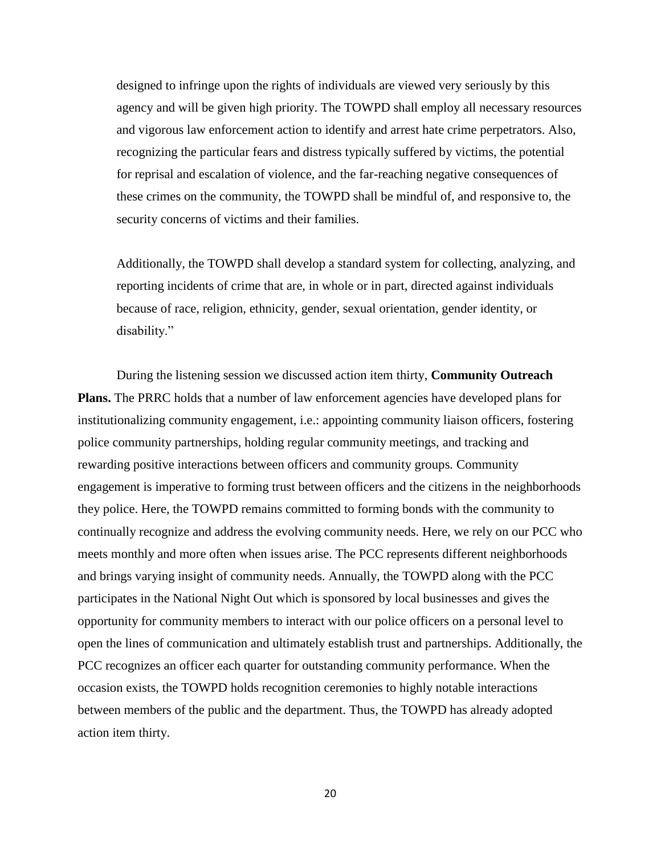designed to infringe upon the rights of individuals are viewed very seriously by this agency and will be given high priority. The TOWPD shall employ all necessary resources and vigorous law enforcement action to identify and arrest hate crime perpetrators. Also, recognizing the particular fears and distress typically suffered by victims, the potential for reprisal and escalation of violence, and the far-reaching negative consequences of these crimes on the community, the TOWPD shall be mindful of, and responsive to, the security concerns of victims and their families.

Additionally, the TOWPD shall develop a standard system for collecting, analyzing, and reporting incidents of crime that are, in whole or in part, directed against individuals because of race, religion, ethnicity, gender, sexual orientation, gender identity, or disability."

During the listening session we discussed action item thirty, **Community Outreach Plans.** The PRRC holds that a number of law enforcement agencies have developed plans for institutionalizing community engagement, i.e.: appointing community liaison officers, fostering police community partnerships, holding regular community meetings, and tracking and rewarding positive interactions between officers and community groups*.* Community engagement is imperative to forming trust between officers and the citizens in the neighborhoods they police. Here, the TOWPD remains committed to forming bonds with the community to continually recognize and address the evolving community needs. Here, we rely on our PCC who meets monthly and more often when issues arise. The PCC represents different neighborhoods and brings varying insight of community needs. Annually, the TOWPD along with the PCC participates in the National Night Out which is sponsored by local businesses and gives the opportunity for community members to interact with our police officers on a personal level to open the lines of communication and ultimately establish trust and partnerships. Additionally, the PCC recognizes an officer each quarter for outstanding community performance. When the occasion exists, the TOWPD holds recognition ceremonies to highly notable interactions between members of the public and the department. Thus, the TOWPD has already adopted action item thirty.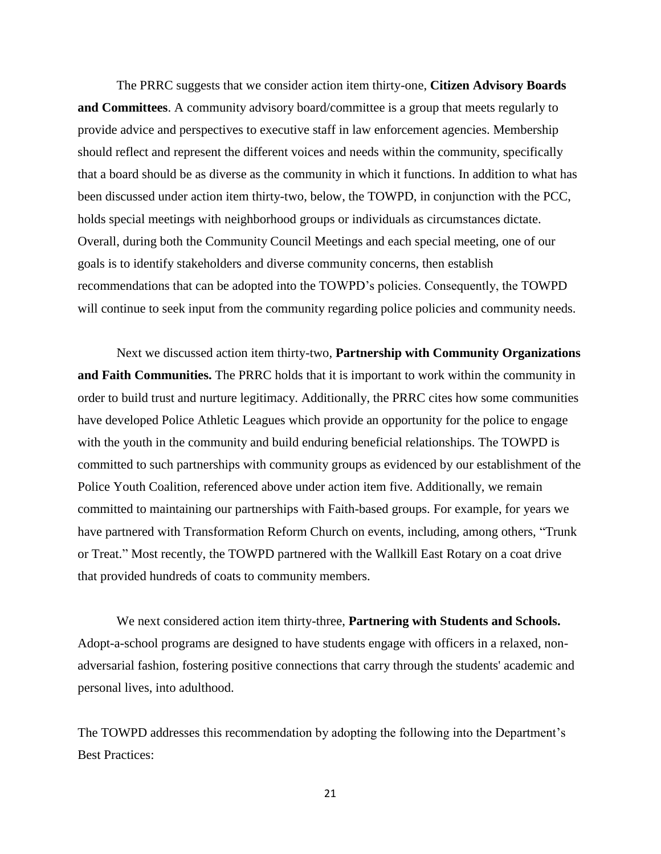The PRRC suggests that we consider action item thirty-one, **Citizen Advisory Boards and Committees**. A community advisory board/committee is a group that meets regularly to provide advice and perspectives to executive staff in law enforcement agencies. Membership should reflect and represent the different voices and needs within the community, specifically that a board should be as diverse as the community in which it functions. In addition to what has been discussed under action item thirty-two, below, the TOWPD, in conjunction with the PCC, holds special meetings with neighborhood groups or individuals as circumstances dictate. Overall, during both the Community Council Meetings and each special meeting, one of our goals is to identify stakeholders and diverse community concerns, then establish recommendations that can be adopted into the TOWPD's policies. Consequently, the TOWPD will continue to seek input from the community regarding police policies and community needs.

Next we discussed action item thirty-two, **Partnership with Community Organizations and Faith Communities.** The PRRC holds that it is important to work within the community in order to build trust and nurture legitimacy. Additionally, the PRRC cites how some communities have developed Police Athletic Leagues which provide an opportunity for the police to engage with the youth in the community and build enduring beneficial relationships. The TOWPD is committed to such partnerships with community groups as evidenced by our establishment of the Police Youth Coalition, referenced above under action item five. Additionally, we remain committed to maintaining our partnerships with Faith-based groups. For example, for years we have partnered with Transformation Reform Church on events, including, among others, "Trunk or Treat." Most recently, the TOWPD partnered with the Wallkill East Rotary on a coat drive that provided hundreds of coats to community members.

We next considered action item thirty-three, **Partnering with Students and Schools.** Adopt-a-school programs are designed to have students engage with officers in a relaxed, nonadversarial fashion, fostering positive connections that carry through the students' academic and personal lives, into adulthood.

The TOWPD addresses this recommendation by adopting the following into the Department's Best Practices: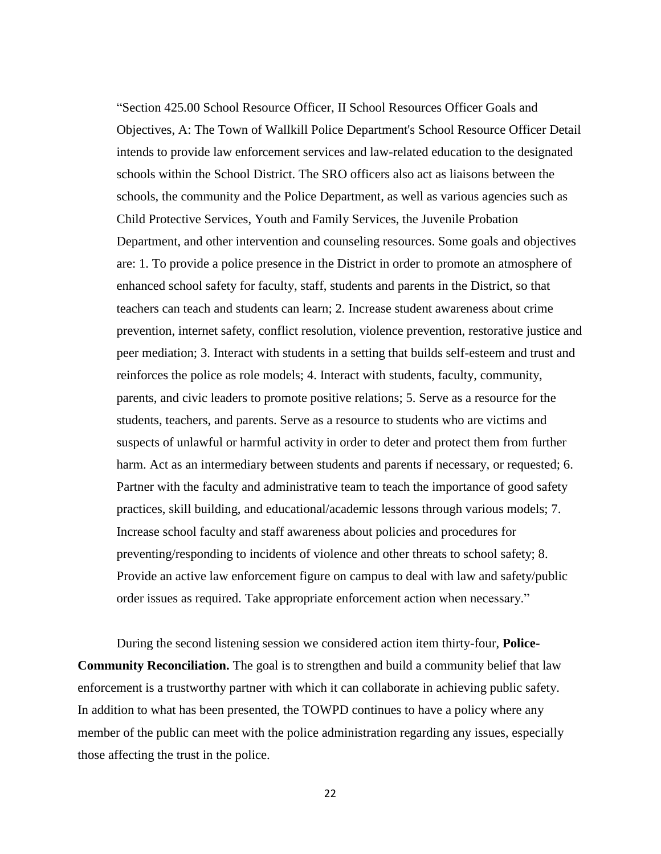"Section 425.00 School Resource Officer, II School Resources Officer Goals and Objectives, A: The Town of Wallkill Police Department's School Resource Officer Detail intends to provide law enforcement services and law-related education to the designated schools within the School District. The SRO officers also act as liaisons between the schools, the community and the Police Department, as well as various agencies such as Child Protective Services, Youth and Family Services, the Juvenile Probation Department, and other intervention and counseling resources. Some goals and objectives are: 1. To provide a police presence in the District in order to promote an atmosphere of enhanced school safety for faculty, staff, students and parents in the District, so that teachers can teach and students can learn; 2. Increase student awareness about crime prevention, internet safety, conflict resolution, violence prevention, restorative justice and peer mediation; 3. Interact with students in a setting that builds self-esteem and trust and reinforces the police as role models; 4. Interact with students, faculty, community, parents, and civic leaders to promote positive relations; 5. Serve as a resource for the students, teachers, and parents. Serve as a resource to students who are victims and suspects of unlawful or harmful activity in order to deter and protect them from further harm. Act as an intermediary between students and parents if necessary, or requested; 6. Partner with the faculty and administrative team to teach the importance of good safety practices, skill building, and educational/academic lessons through various models; 7. Increase school faculty and staff awareness about policies and procedures for preventing/responding to incidents of violence and other threats to school safety; 8. Provide an active law enforcement figure on campus to deal with law and safety/public order issues as required. Take appropriate enforcement action when necessary."

During the second listening session we considered action item thirty-four, **Police-Community Reconciliation.** The goal is to strengthen and build a community belief that law enforcement is a trustworthy partner with which it can collaborate in achieving public safety. In addition to what has been presented, the TOWPD continues to have a policy where any member of the public can meet with the police administration regarding any issues, especially those affecting the trust in the police.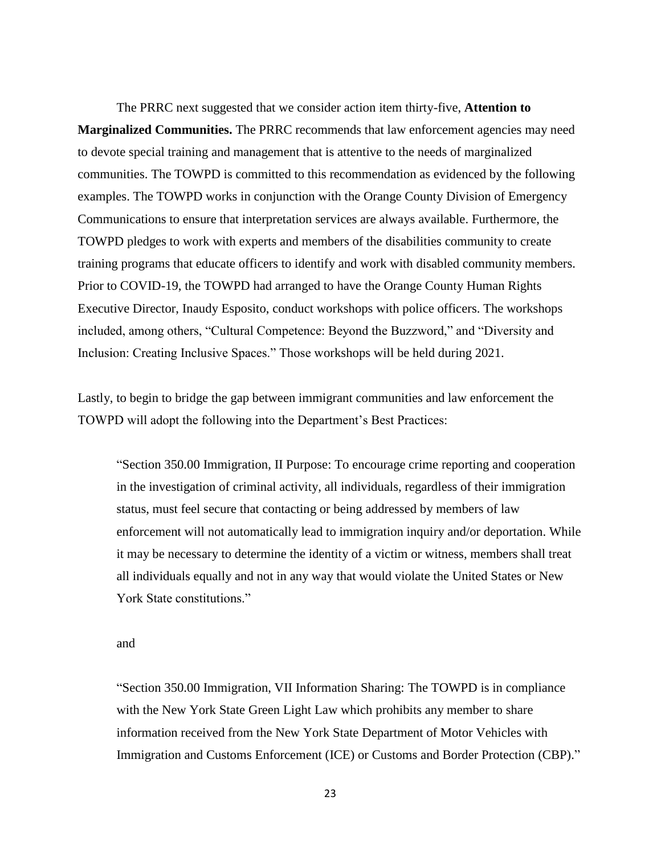The PRRC next suggested that we consider action item thirty-five, **Attention to Marginalized Communities.** The PRRC recommends that law enforcement agencies may need to devote special training and management that is attentive to the needs of marginalized communities. The TOWPD is committed to this recommendation as evidenced by the following examples. The TOWPD works in conjunction with the Orange County Division of Emergency Communications to ensure that interpretation services are always available. Furthermore, the TOWPD pledges to work with experts and members of the disabilities community to create training programs that educate officers to identify and work with disabled community members. Prior to COVID-19, the TOWPD had arranged to have the Orange County Human Rights Executive Director, Inaudy Esposito, conduct workshops with police officers. The workshops included, among others, "Cultural Competence: Beyond the Buzzword," and "Diversity and Inclusion: Creating Inclusive Spaces." Those workshops will be held during 2021.

Lastly, to begin to bridge the gap between immigrant communities and law enforcement the TOWPD will adopt the following into the Department's Best Practices:

"Section 350.00 Immigration, II Purpose: To encourage crime reporting and cooperation in the investigation of criminal activity, all individuals, regardless of their immigration status, must feel secure that contacting or being addressed by members of law enforcement will not automatically lead to immigration inquiry and/or deportation. While it may be necessary to determine the identity of a victim or witness, members shall treat all individuals equally and not in any way that would violate the United States or New York State constitutions."

and

"Section 350.00 Immigration, VII Information Sharing: The TOWPD is in compliance with the New York State Green Light Law which prohibits any member to share information received from the New York State Department of Motor Vehicles with Immigration and Customs Enforcement (ICE) or Customs and Border Protection (CBP)."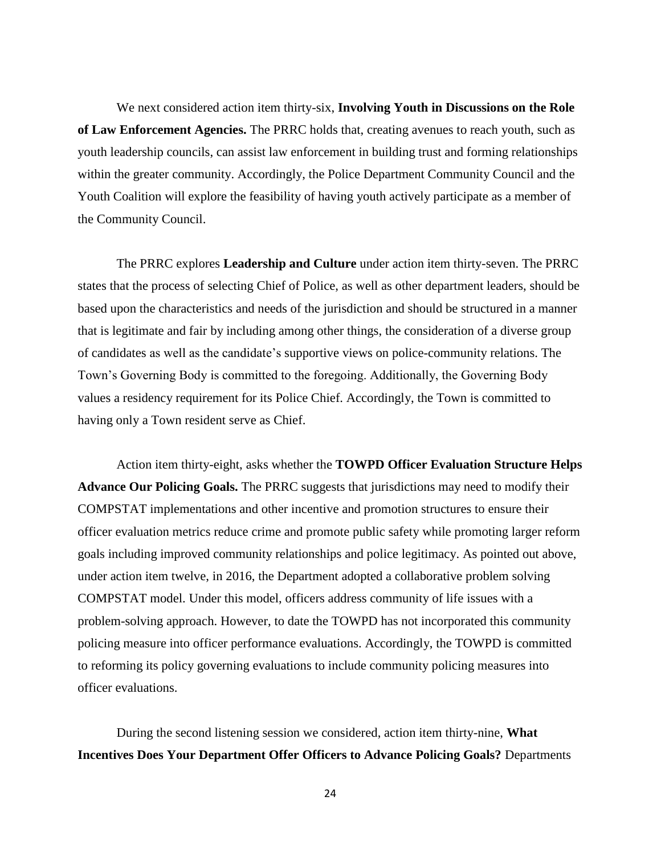We next considered action item thirty-six, **Involving Youth in Discussions on the Role of Law Enforcement Agencies.** The PRRC holds that, creating avenues to reach youth, such as youth leadership councils, can assist law enforcement in building trust and forming relationships within the greater community. Accordingly, the Police Department Community Council and the Youth Coalition will explore the feasibility of having youth actively participate as a member of the Community Council.

The PRRC explores **Leadership and Culture** under action item thirty-seven. The PRRC states that the process of selecting Chief of Police, as well as other department leaders, should be based upon the characteristics and needs of the jurisdiction and should be structured in a manner that is legitimate and fair by including among other things, the consideration of a diverse group of candidates as well as the candidate's supportive views on police-community relations. The Town's Governing Body is committed to the foregoing. Additionally, the Governing Body values a residency requirement for its Police Chief. Accordingly, the Town is committed to having only a Town resident serve as Chief.

Action item thirty-eight, asks whether the **TOWPD Officer Evaluation Structure Helps Advance Our Policing Goals.** The PRRC suggests that jurisdictions may need to modify their COMPSTAT implementations and other incentive and promotion structures to ensure their officer evaluation metrics reduce crime and promote public safety while promoting larger reform goals including improved community relationships and police legitimacy. As pointed out above, under action item twelve, in 2016, the Department adopted a collaborative problem solving COMPSTAT model. Under this model, officers address community of life issues with a problem-solving approach. However, to date the TOWPD has not incorporated this community policing measure into officer performance evaluations. Accordingly, the TOWPD is committed to reforming its policy governing evaluations to include community policing measures into officer evaluations.

During the second listening session we considered, action item thirty-nine, **What Incentives Does Your Department Offer Officers to Advance Policing Goals?** Departments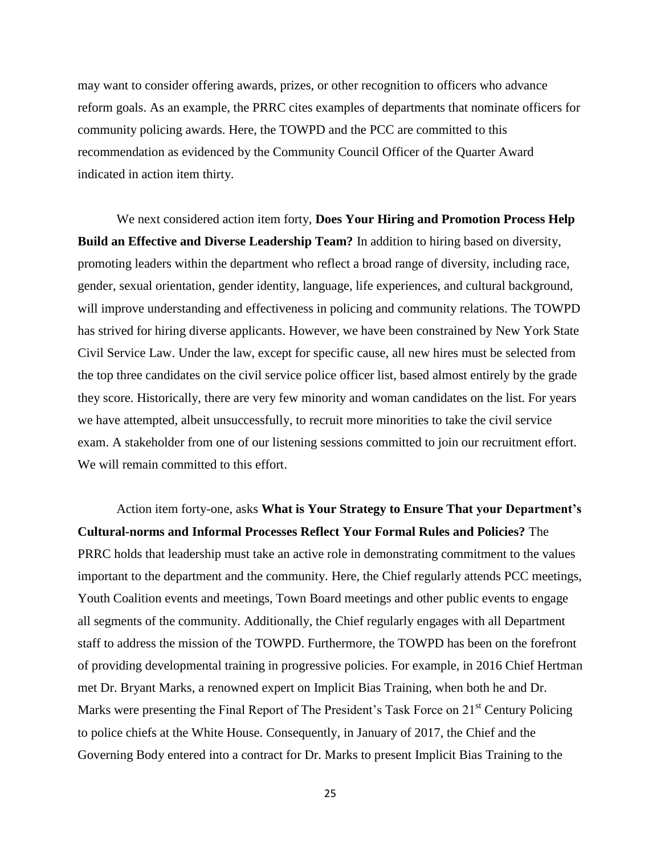may want to consider offering awards, prizes, or other recognition to officers who advance reform goals. As an example, the PRRC cites examples of departments that nominate officers for community policing awards. Here, the TOWPD and the PCC are committed to this recommendation as evidenced by the Community Council Officer of the Quarter Award indicated in action item thirty.

We next considered action item forty, **Does Your Hiring and Promotion Process Help Build an Effective and Diverse Leadership Team?** In addition to hiring based on diversity, promoting leaders within the department who reflect a broad range of diversity, including race, gender, sexual orientation, gender identity, language, life experiences, and cultural background, will improve understanding and effectiveness in policing and community relations. The TOWPD has strived for hiring diverse applicants. However, we have been constrained by New York State Civil Service Law. Under the law, except for specific cause, all new hires must be selected from the top three candidates on the civil service police officer list, based almost entirely by the grade they score. Historically, there are very few minority and woman candidates on the list. For years we have attempted, albeit unsuccessfully, to recruit more minorities to take the civil service exam. A stakeholder from one of our listening sessions committed to join our recruitment effort. We will remain committed to this effort.

Action item forty-one, asks **What is Your Strategy to Ensure That your Department's Cultural-norms and Informal Processes Reflect Your Formal Rules and Policies?** The PRRC holds that leadership must take an active role in demonstrating commitment to the values important to the department and the community. Here, the Chief regularly attends PCC meetings, Youth Coalition events and meetings, Town Board meetings and other public events to engage all segments of the community. Additionally, the Chief regularly engages with all Department staff to address the mission of the TOWPD. Furthermore, the TOWPD has been on the forefront of providing developmental training in progressive policies. For example, in 2016 Chief Hertman met Dr. Bryant Marks, a renowned expert on Implicit Bias Training, when both he and Dr. Marks were presenting the Final Report of The President's Task Force on 21<sup>st</sup> Century Policing to police chiefs at the White House. Consequently, in January of 2017, the Chief and the Governing Body entered into a contract for Dr. Marks to present Implicit Bias Training to the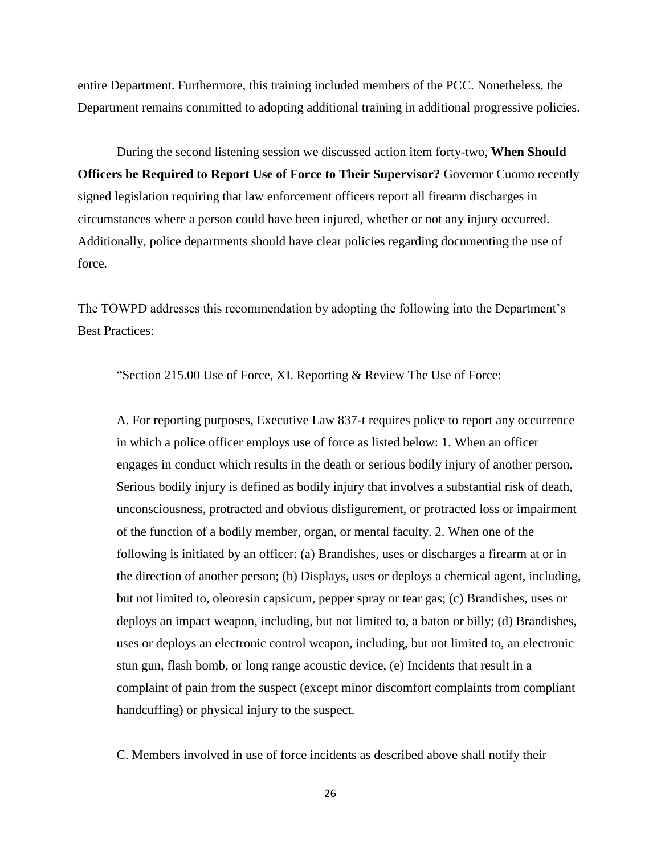entire Department. Furthermore, this training included members of the PCC. Nonetheless, the Department remains committed to adopting additional training in additional progressive policies.

During the second listening session we discussed action item forty-two, **When Should Officers be Required to Report Use of Force to Their Supervisor?** Governor Cuomo recently signed legislation requiring that law enforcement officers report all firearm discharges in circumstances where a person could have been injured, whether or not any injury occurred. Additionally, police departments should have clear policies regarding documenting the use of force*.*

The TOWPD addresses this recommendation by adopting the following into the Department's Best Practices:

"Section 215.00 Use of Force, XI. Reporting & Review The Use of Force:

A. For reporting purposes, Executive Law 837-t requires police to report any occurrence in which a police officer employs use of force as listed below: 1. When an officer engages in conduct which results in the death or serious bodily injury of another person. Serious bodily injury is defined as bodily injury that involves a substantial risk of death, unconsciousness, protracted and obvious disfigurement, or protracted loss or impairment of the function of a bodily member, organ, or mental faculty. 2. When one of the following is initiated by an officer: (a) Brandishes, uses or discharges a firearm at or in the direction of another person; (b) Displays, uses or deploys a chemical agent, including, but not limited to, oleoresin capsicum, pepper spray or tear gas; (c) Brandishes, uses or deploys an impact weapon, including, but not limited to, a baton or billy; (d) Brandishes, uses or deploys an electronic control weapon, including, but not limited to, an electronic stun gun, flash bomb, or long range acoustic device, (e) Incidents that result in a complaint of pain from the suspect (except minor discomfort complaints from compliant handcuffing) or physical injury to the suspect.

C. Members involved in use of force incidents as described above shall notify their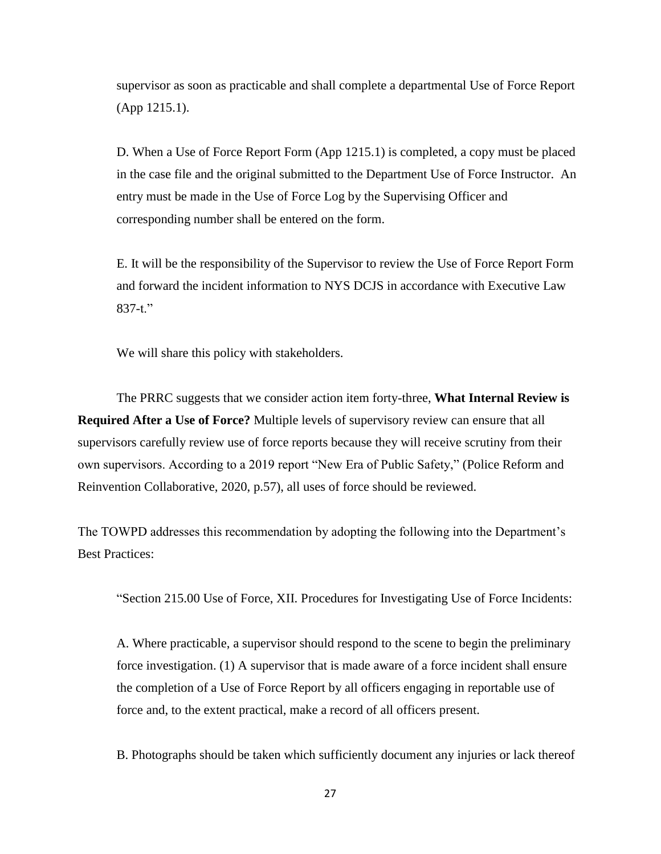supervisor as soon as practicable and shall complete a departmental Use of Force Report (App 1215.1).

D. When a Use of Force Report Form (App 1215.1) is completed, a copy must be placed in the case file and the original submitted to the Department Use of Force Instructor. An entry must be made in the Use of Force Log by the Supervising Officer and corresponding number shall be entered on the form.

E. It will be the responsibility of the Supervisor to review the Use of Force Report Form and forward the incident information to NYS DCJS in accordance with Executive Law 837-t."

We will share this policy with stakeholders.

The PRRC suggests that we consider action item forty-three, **What Internal Review is Required After a Use of Force?** Multiple levels of supervisory review can ensure that all supervisors carefully review use of force reports because they will receive scrutiny from their own supervisors. According to a 2019 report "New Era of Public Safety," (Police Reform and Reinvention Collaborative, 2020, p.57), all uses of force should be reviewed.

The TOWPD addresses this recommendation by adopting the following into the Department's Best Practices:

"Section 215.00 Use of Force, XII. Procedures for Investigating Use of Force Incidents:

A. Where practicable, a supervisor should respond to the scene to begin the preliminary force investigation. (1) A supervisor that is made aware of a force incident shall ensure the completion of a Use of Force Report by all officers engaging in reportable use of force and, to the extent practical, make a record of all officers present.

B. Photographs should be taken which sufficiently document any injuries or lack thereof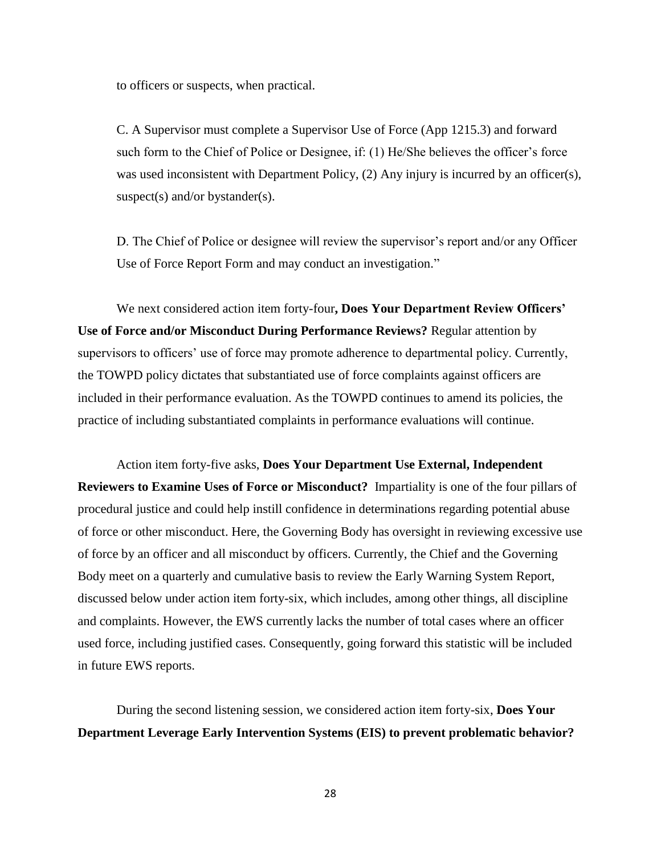to officers or suspects, when practical.

C. A Supervisor must complete a Supervisor Use of Force (App 1215.3) and forward such form to the Chief of Police or Designee, if: (1) He/She believes the officer's force was used inconsistent with Department Policy, (2) Any injury is incurred by an officer(s), suspect(s) and/or bystander(s).

D. The Chief of Police or designee will review the supervisor's report and/or any Officer Use of Force Report Form and may conduct an investigation."

We next considered action item forty-four**, Does Your Department Review Officers' Use of Force and/or Misconduct During Performance Reviews?** Regular attention by supervisors to officers' use of force may promote adherence to departmental policy. Currently, the TOWPD policy dictates that substantiated use of force complaints against officers are included in their performance evaluation. As the TOWPD continues to amend its policies, the practice of including substantiated complaints in performance evaluations will continue.

Action item forty-five asks, **Does Your Department Use External, Independent Reviewers to Examine Uses of Force or Misconduct?** Impartiality is one of the four pillars of procedural justice and could help instill confidence in determinations regarding potential abuse of force or other misconduct. Here, the Governing Body has oversight in reviewing excessive use of force by an officer and all misconduct by officers. Currently, the Chief and the Governing Body meet on a quarterly and cumulative basis to review the Early Warning System Report, discussed below under action item forty-six, which includes, among other things, all discipline and complaints. However, the EWS currently lacks the number of total cases where an officer used force, including justified cases. Consequently, going forward this statistic will be included in future EWS reports.

 During the second listening session, we considered action item forty-six, **Does Your Department Leverage Early Intervention Systems (EIS) to prevent problematic behavior?**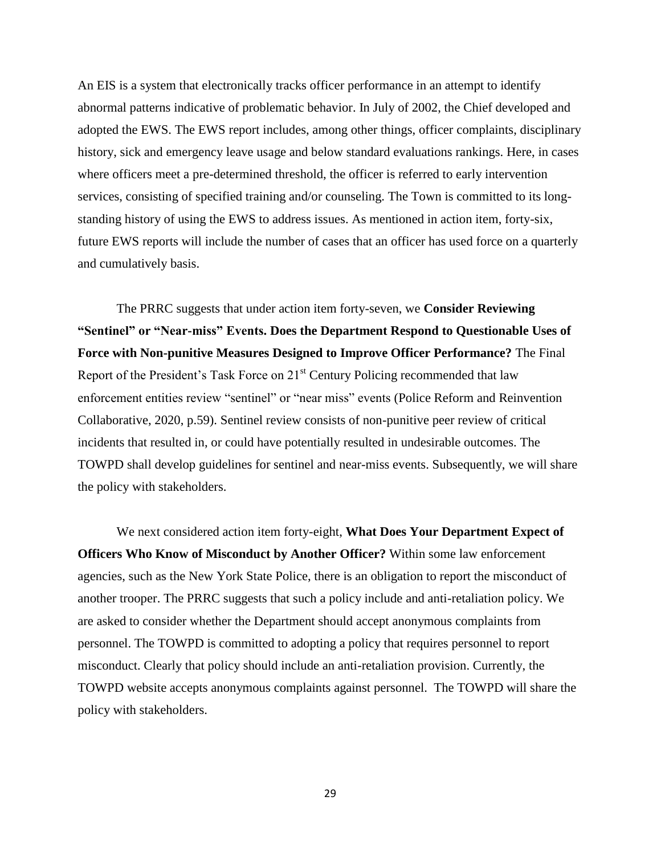An EIS is a system that electronically tracks officer performance in an attempt to identify abnormal patterns indicative of problematic behavior. In July of 2002, the Chief developed and adopted the EWS. The EWS report includes, among other things, officer complaints, disciplinary history, sick and emergency leave usage and below standard evaluations rankings. Here, in cases where officers meet a pre-determined threshold, the officer is referred to early intervention services, consisting of specified training and/or counseling. The Town is committed to its longstanding history of using the EWS to address issues. As mentioned in action item, forty-six, future EWS reports will include the number of cases that an officer has used force on a quarterly and cumulatively basis.

The PRRC suggests that under action item forty-seven, we **Consider Reviewing "Sentinel" or "Near-miss" Events. Does the Department Respond to Questionable Uses of Force with Non-punitive Measures Designed to Improve Officer Performance?** The Final Report of the President's Task Force on 21<sup>st</sup> Century Policing recommended that law enforcement entities review "sentinel" or "near miss" events (Police Reform and Reinvention Collaborative, 2020, p.59). Sentinel review consists of non-punitive peer review of critical incidents that resulted in, or could have potentially resulted in undesirable outcomes. The TOWPD shall develop guidelines for sentinel and near-miss events. Subsequently, we will share the policy with stakeholders.

We next considered action item forty-eight, **What Does Your Department Expect of Officers Who Know of Misconduct by Another Officer?** Within some law enforcement agencies, such as the New York State Police, there is an obligation to report the misconduct of another trooper. The PRRC suggests that such a policy include and anti-retaliation policy. We are asked to consider whether the Department should accept anonymous complaints from personnel. The TOWPD is committed to adopting a policy that requires personnel to report misconduct. Clearly that policy should include an anti-retaliation provision. Currently, the TOWPD website accepts anonymous complaints against personnel. The TOWPD will share the policy with stakeholders.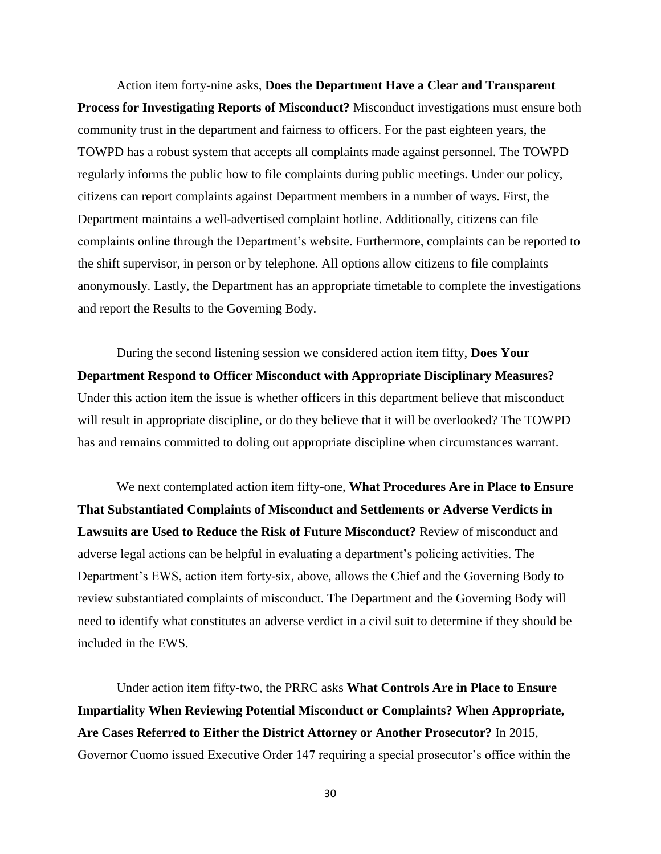Action item forty-nine asks, **Does the Department Have a Clear and Transparent Process for Investigating Reports of Misconduct?** Misconduct investigations must ensure both community trust in the department and fairness to officers. For the past eighteen years, the TOWPD has a robust system that accepts all complaints made against personnel. The TOWPD regularly informs the public how to file complaints during public meetings. Under our policy, citizens can report complaints against Department members in a number of ways. First, the Department maintains a well-advertised complaint hotline. Additionally, citizens can file complaints online through the Department's website. Furthermore, complaints can be reported to the shift supervisor, in person or by telephone. All options allow citizens to file complaints anonymously. Lastly, the Department has an appropriate timetable to complete the investigations and report the Results to the Governing Body.

During the second listening session we considered action item fifty, **Does Your Department Respond to Officer Misconduct with Appropriate Disciplinary Measures?** Under this action item the issue is whether officers in this department believe that misconduct will result in appropriate discipline, or do they believe that it will be overlooked? The TOWPD has and remains committed to doling out appropriate discipline when circumstances warrant.

We next contemplated action item fifty-one, **What Procedures Are in Place to Ensure That Substantiated Complaints of Misconduct and Settlements or Adverse Verdicts in Lawsuits are Used to Reduce the Risk of Future Misconduct?** Review of misconduct and adverse legal actions can be helpful in evaluating a department's policing activities. The Department's EWS, action item forty-six, above, allows the Chief and the Governing Body to review substantiated complaints of misconduct. The Department and the Governing Body will need to identify what constitutes an adverse verdict in a civil suit to determine if they should be included in the EWS.

Under action item fifty-two, the PRRC asks **What Controls Are in Place to Ensure Impartiality When Reviewing Potential Misconduct or Complaints? When Appropriate, Are Cases Referred to Either the District Attorney or Another Prosecutor?** In 2015, Governor Cuomo issued Executive Order 147 requiring a special prosecutor's office within the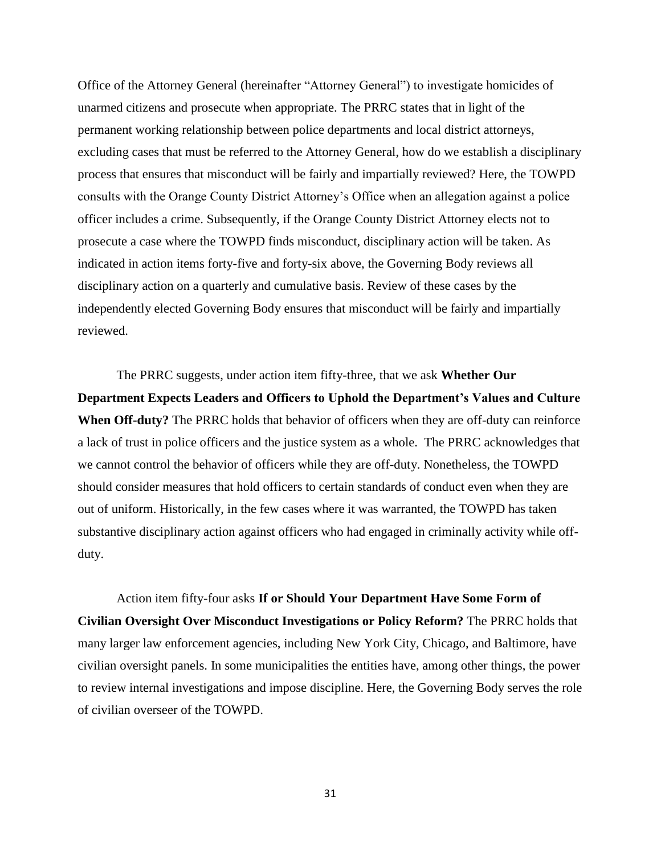Office of the Attorney General (hereinafter "Attorney General") to investigate homicides of unarmed citizens and prosecute when appropriate. The PRRC states that in light of the permanent working relationship between police departments and local district attorneys, excluding cases that must be referred to the Attorney General, how do we establish a disciplinary process that ensures that misconduct will be fairly and impartially reviewed? Here, the TOWPD consults with the Orange County District Attorney's Office when an allegation against a police officer includes a crime. Subsequently, if the Orange County District Attorney elects not to prosecute a case where the TOWPD finds misconduct, disciplinary action will be taken. As indicated in action items forty-five and forty-six above, the Governing Body reviews all disciplinary action on a quarterly and cumulative basis. Review of these cases by the independently elected Governing Body ensures that misconduct will be fairly and impartially reviewed.

The PRRC suggests, under action item fifty-three, that we ask **Whether Our Department Expects Leaders and Officers to Uphold the Department's Values and Culture When Off-duty?** The PRRC holds that behavior of officers when they are off-duty can reinforce a lack of trust in police officers and the justice system as a whole. The PRRC acknowledges that we cannot control the behavior of officers while they are off-duty. Nonetheless, the TOWPD should consider measures that hold officers to certain standards of conduct even when they are out of uniform. Historically, in the few cases where it was warranted, the TOWPD has taken substantive disciplinary action against officers who had engaged in criminally activity while offduty.

Action item fifty-four asks **If or Should Your Department Have Some Form of Civilian Oversight Over Misconduct Investigations or Policy Reform?** The PRRC holds that many larger law enforcement agencies, including New York City, Chicago, and Baltimore, have civilian oversight panels. In some municipalities the entities have, among other things, the power to review internal investigations and impose discipline. Here, the Governing Body serves the role of civilian overseer of the TOWPD.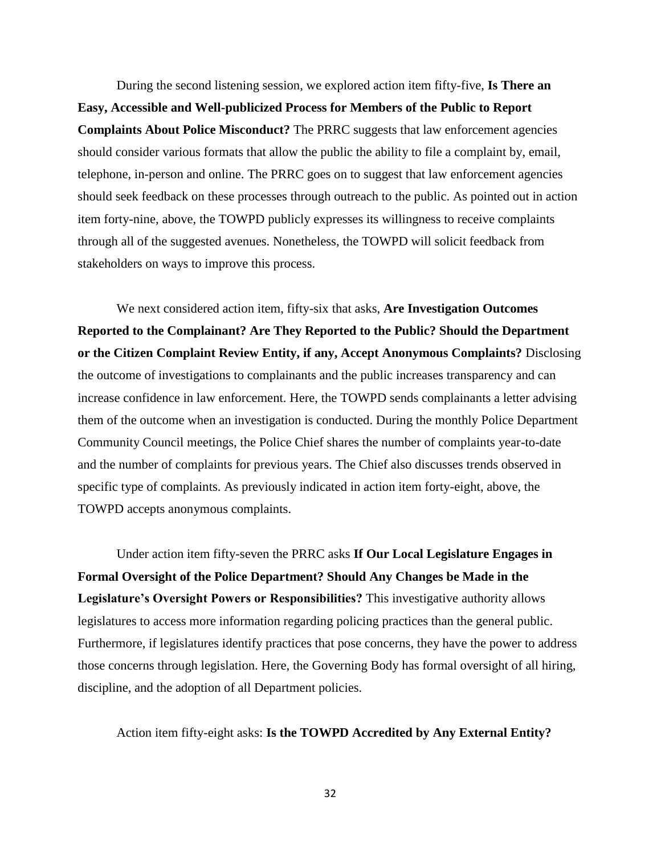During the second listening session, we explored action item fifty-five, **Is There an Easy, Accessible and Well-publicized Process for Members of the Public to Report Complaints About Police Misconduct?** The PRRC suggests that law enforcement agencies should consider various formats that allow the public the ability to file a complaint by, email, telephone, in-person and online. The PRRC goes on to suggest that law enforcement agencies should seek feedback on these processes through outreach to the public. As pointed out in action item forty-nine, above, the TOWPD publicly expresses its willingness to receive complaints through all of the suggested avenues. Nonetheless, the TOWPD will solicit feedback from stakeholders on ways to improve this process.

We next considered action item, fifty-six that asks, **Are Investigation Outcomes Reported to the Complainant? Are They Reported to the Public? Should the Department or the Citizen Complaint Review Entity, if any, Accept Anonymous Complaints?** Disclosing the outcome of investigations to complainants and the public increases transparency and can increase confidence in law enforcement. Here, the TOWPD sends complainants a letter advising them of the outcome when an investigation is conducted. During the monthly Police Department Community Council meetings, the Police Chief shares the number of complaints year-to-date and the number of complaints for previous years. The Chief also discusses trends observed in specific type of complaints. As previously indicated in action item forty-eight, above, the TOWPD accepts anonymous complaints.

Under action item fifty-seven the PRRC asks **If Our Local Legislature Engages in Formal Oversight of the Police Department? Should Any Changes be Made in the Legislature's Oversight Powers or Responsibilities?** This investigative authority allows legislatures to access more information regarding policing practices than the general public. Furthermore, if legislatures identify practices that pose concerns, they have the power to address those concerns through legislation. Here, the Governing Body has formal oversight of all hiring, discipline, and the adoption of all Department policies.

Action item fifty-eight asks: **Is the TOWPD Accredited by Any External Entity?**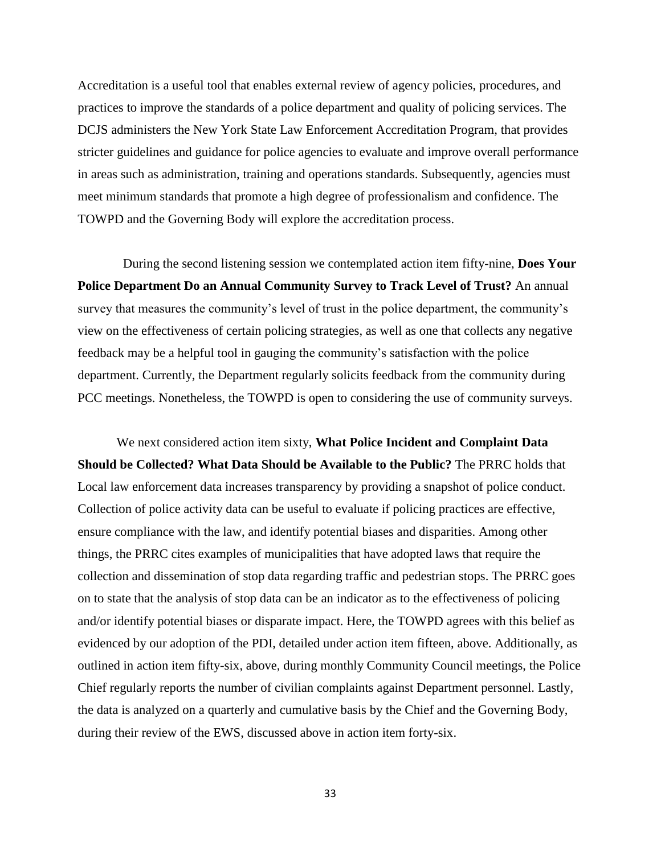Accreditation is a useful tool that enables external review of agency policies, procedures, and practices to improve the standards of a police department and quality of policing services. The DCJS administers the New York State Law Enforcement Accreditation Program, that provides stricter guidelines and guidance for police agencies to evaluate and improve overall performance in areas such as administration, training and operations standards. Subsequently, agencies must meet minimum standards that promote a high degree of professionalism and confidence. The TOWPD and the Governing Body will explore the accreditation process.

 During the second listening session we contemplated action item fifty-nine, **Does Your Police Department Do an Annual Community Survey to Track Level of Trust?** An annual survey that measures the community's level of trust in the police department, the community's view on the effectiveness of certain policing strategies, as well as one that collects any negative feedback may be a helpful tool in gauging the community's satisfaction with the police department. Currently, the Department regularly solicits feedback from the community during PCC meetings. Nonetheless, the TOWPD is open to considering the use of community surveys.

We next considered action item sixty, **What Police Incident and Complaint Data Should be Collected? What Data Should be Available to the Public?** The PRRC holds that Local law enforcement data increases transparency by providing a snapshot of police conduct. Collection of police activity data can be useful to evaluate if policing practices are effective, ensure compliance with the law, and identify potential biases and disparities. Among other things, the PRRC cites examples of municipalities that have adopted laws that require the collection and dissemination of stop data regarding traffic and pedestrian stops. The PRRC goes on to state that the analysis of stop data can be an indicator as to the effectiveness of policing and/or identify potential biases or disparate impact. Here, the TOWPD agrees with this belief as evidenced by our adoption of the PDI, detailed under action item fifteen, above. Additionally, as outlined in action item fifty-six, above, during monthly Community Council meetings, the Police Chief regularly reports the number of civilian complaints against Department personnel. Lastly, the data is analyzed on a quarterly and cumulative basis by the Chief and the Governing Body, during their review of the EWS, discussed above in action item forty-six.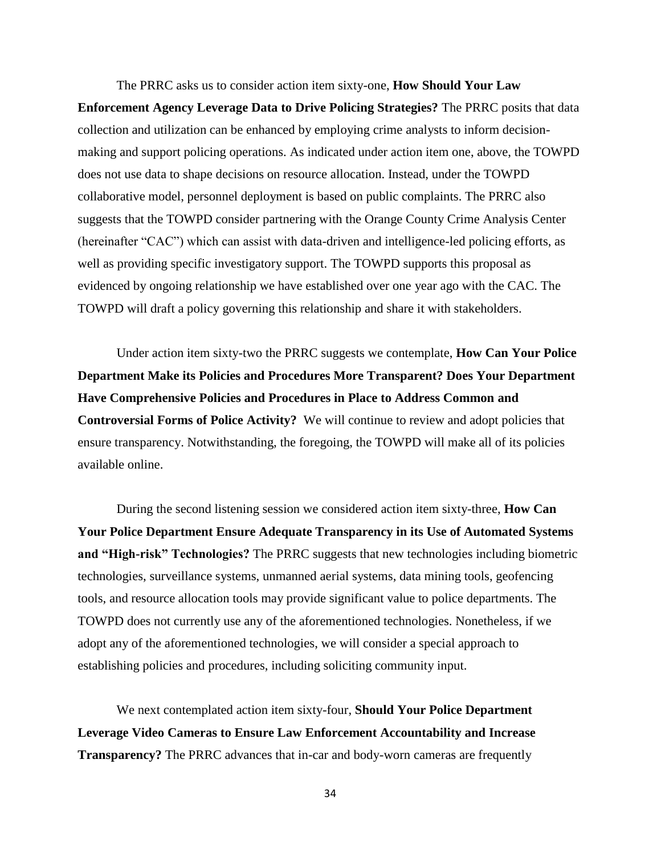The PRRC asks us to consider action item sixty-one, **How Should Your Law Enforcement Agency Leverage Data to Drive Policing Strategies?** The PRRC posits that data collection and utilization can be enhanced by employing crime analysts to inform decisionmaking and support policing operations. As indicated under action item one, above, the TOWPD does not use data to shape decisions on resource allocation. Instead, under the TOWPD collaborative model, personnel deployment is based on public complaints. The PRRC also suggests that the TOWPD consider partnering with the Orange County Crime Analysis Center (hereinafter "CAC") which can assist with data-driven and intelligence-led policing efforts, as well as providing specific investigatory support. The TOWPD supports this proposal as evidenced by ongoing relationship we have established over one year ago with the CAC. The TOWPD will draft a policy governing this relationship and share it with stakeholders.

Under action item sixty-two the PRRC suggests we contemplate, **How Can Your Police Department Make its Policies and Procedures More Transparent? Does Your Department Have Comprehensive Policies and Procedures in Place to Address Common and Controversial Forms of Police Activity?** We will continue to review and adopt policies that ensure transparency. Notwithstanding, the foregoing, the TOWPD will make all of its policies available online.

During the second listening session we considered action item sixty-three, **How Can Your Police Department Ensure Adequate Transparency in its Use of Automated Systems and "High-risk" Technologies?** The PRRC suggests that new technologies including biometric technologies, surveillance systems, unmanned aerial systems, data mining tools, geofencing tools, and resource allocation tools may provide significant value to police departments. The TOWPD does not currently use any of the aforementioned technologies. Nonetheless, if we adopt any of the aforementioned technologies, we will consider a special approach to establishing policies and procedures, including soliciting community input.

We next contemplated action item sixty-four, **Should Your Police Department Leverage Video Cameras to Ensure Law Enforcement Accountability and Increase Transparency?** The PRRC advances that in-car and body-worn cameras are frequently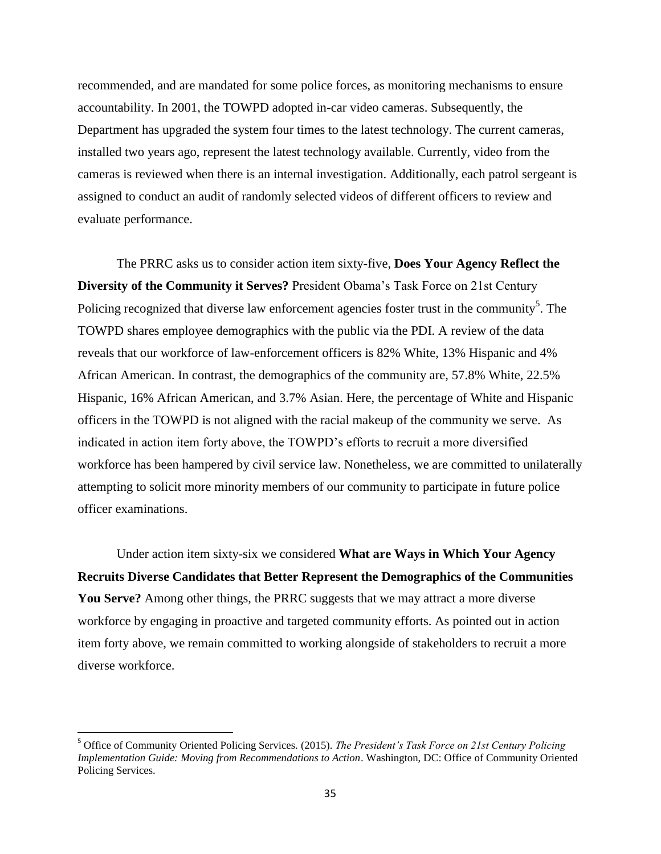recommended, and are mandated for some police forces, as monitoring mechanisms to ensure accountability. In 2001, the TOWPD adopted in-car video cameras. Subsequently, the Department has upgraded the system four times to the latest technology. The current cameras, installed two years ago, represent the latest technology available. Currently, video from the cameras is reviewed when there is an internal investigation. Additionally, each patrol sergeant is assigned to conduct an audit of randomly selected videos of different officers to review and evaluate performance.

The PRRC asks us to consider action item sixty-five, **Does Your Agency Reflect the Diversity of the Community it Serves?** President Obama's Task Force on 21st Century Policing recognized that diverse law enforcement agencies foster trust in the community<sup>5</sup>. The TOWPD shares employee demographics with the public via the PDI. A review of the data reveals that our workforce of law-enforcement officers is 82% White, 13% Hispanic and 4% African American. In contrast, the demographics of the community are, 57.8% White, 22.5% Hispanic, 16% African American, and 3.7% Asian. Here, the percentage of White and Hispanic officers in the TOWPD is not aligned with the racial makeup of the community we serve. As indicated in action item forty above, the TOWPD's efforts to recruit a more diversified workforce has been hampered by civil service law. Nonetheless, we are committed to unilaterally attempting to solicit more minority members of our community to participate in future police officer examinations.

Under action item sixty-six we considered **What are Ways in Which Your Agency Recruits Diverse Candidates that Better Represent the Demographics of the Communities You Serve?** Among other things, the PRRC suggests that we may attract a more diverse workforce by engaging in proactive and targeted community efforts. As pointed out in action item forty above, we remain committed to working alongside of stakeholders to recruit a more diverse workforce.

 $\overline{\phantom{a}}$ 

<sup>5</sup> Office of Community Oriented Policing Services. (2015). *The President's Task Force on 21st Century Policing Implementation Guide: Moving from Recommendations to Action*. Washington, DC: Office of Community Oriented Policing Services.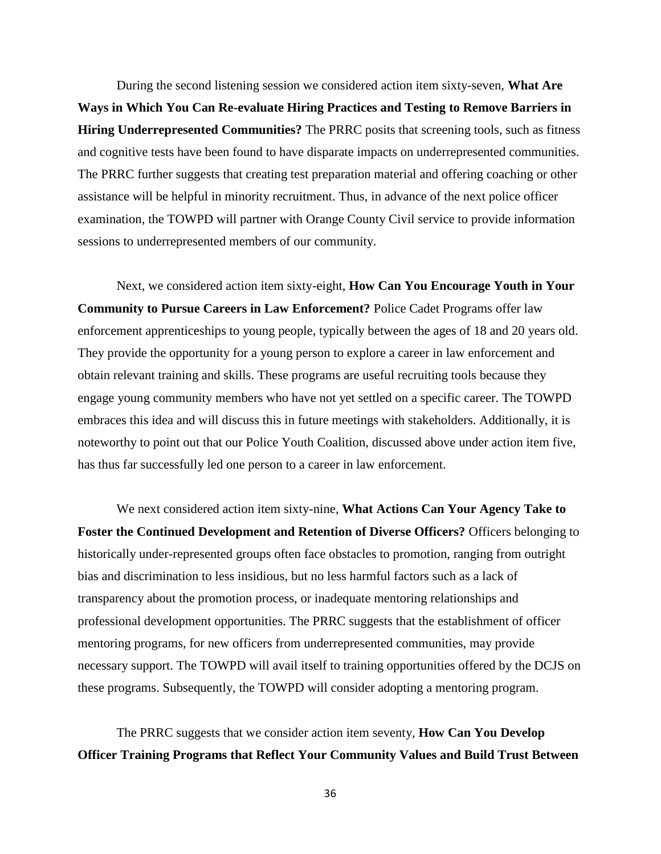During the second listening session we considered action item sixty-seven, **What Are Ways in Which You Can Re-evaluate Hiring Practices and Testing to Remove Barriers in Hiring Underrepresented Communities?** The PRRC posits that screening tools, such as fitness and cognitive tests have been found to have disparate impacts on underrepresented communities. The PRRC further suggests that creating test preparation material and offering coaching or other assistance will be helpful in minority recruitment. Thus, in advance of the next police officer examination, the TOWPD will partner with Orange County Civil service to provide information sessions to underrepresented members of our community.

Next, we considered action item sixty-eight, **How Can You Encourage Youth in Your Community to Pursue Careers in Law Enforcement?** Police Cadet Programs offer law enforcement apprenticeships to young people, typically between the ages of 18 and 20 years old. They provide the opportunity for a young person to explore a career in law enforcement and obtain relevant training and skills. These programs are useful recruiting tools because they engage young community members who have not yet settled on a specific career. The TOWPD embraces this idea and will discuss this in future meetings with stakeholders. Additionally, it is noteworthy to point out that our Police Youth Coalition, discussed above under action item five, has thus far successfully led one person to a career in law enforcement.

We next considered action item sixty-nine, **What Actions Can Your Agency Take to Foster the Continued Development and Retention of Diverse Officers?** Officers belonging to historically under-represented groups often face obstacles to promotion, ranging from outright bias and discrimination to less insidious, but no less harmful factors such as a lack of transparency about the promotion process, or inadequate mentoring relationships and professional development opportunities. The PRRC suggests that the establishment of officer mentoring programs, for new officers from underrepresented communities, may provide necessary support. The TOWPD will avail itself to training opportunities offered by the DCJS on these programs. Subsequently, the TOWPD will consider adopting a mentoring program.

The PRRC suggests that we consider action item seventy, **How Can You Develop Officer Training Programs that Reflect Your Community Values and Build Trust Between**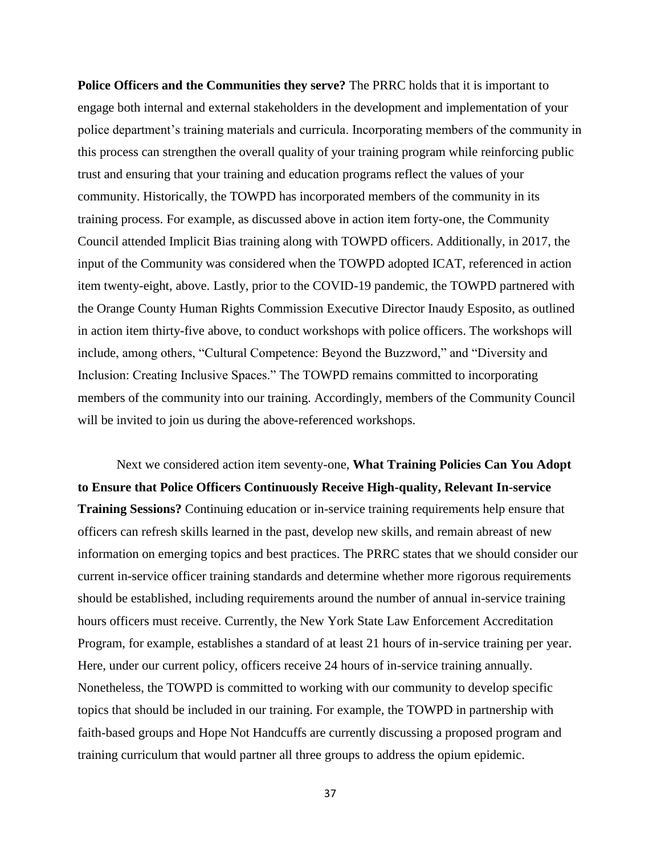**Police Officers and the Communities they serve?** The PRRC holds that it is important to engage both internal and external stakeholders in the development and implementation of your police department's training materials and curricula. Incorporating members of the community in this process can strengthen the overall quality of your training program while reinforcing public trust and ensuring that your training and education programs reflect the values of your community. Historically, the TOWPD has incorporated members of the community in its training process. For example, as discussed above in action item forty-one, the Community Council attended Implicit Bias training along with TOWPD officers. Additionally, in 2017, the input of the Community was considered when the TOWPD adopted ICAT, referenced in action item twenty-eight, above. Lastly, prior to the COVID-19 pandemic, the TOWPD partnered with the Orange County Human Rights Commission Executive Director Inaudy Esposito, as outlined in action item thirty-five above, to conduct workshops with police officers. The workshops will include, among others, "Cultural Competence: Beyond the Buzzword," and "Diversity and Inclusion: Creating Inclusive Spaces." The TOWPD remains committed to incorporating members of the community into our training. Accordingly, members of the Community Council will be invited to join us during the above-referenced workshops.

Next we considered action item seventy-one, **What Training Policies Can You Adopt to Ensure that Police Officers Continuously Receive High-quality, Relevant In-service Training Sessions?** Continuing education or in-service training requirements help ensure that officers can refresh skills learned in the past, develop new skills, and remain abreast of new information on emerging topics and best practices. The PRRC states that we should consider our current in-service officer training standards and determine whether more rigorous requirements should be established, including requirements around the number of annual in-service training hours officers must receive. Currently, the New York State Law Enforcement Accreditation Program, for example, establishes a standard of at least 21 hours of in-service training per year. Here, under our current policy, officers receive 24 hours of in-service training annually. Nonetheless, the TOWPD is committed to working with our community to develop specific topics that should be included in our training. For example, the TOWPD in partnership with faith-based groups and Hope Not Handcuffs are currently discussing a proposed program and training curriculum that would partner all three groups to address the opium epidemic.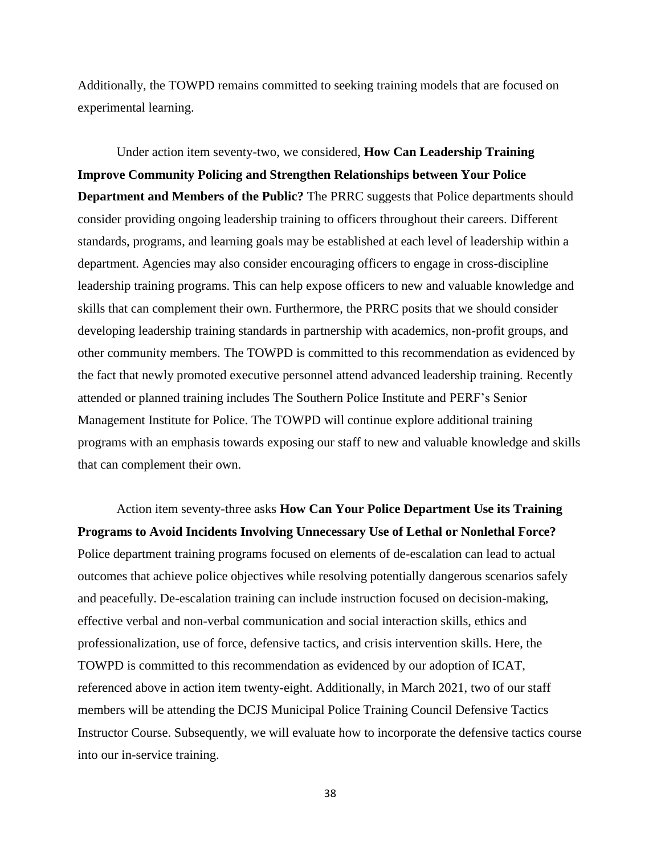Additionally, the TOWPD remains committed to seeking training models that are focused on experimental learning.

Under action item seventy-two, we considered, **How Can Leadership Training Improve Community Policing and Strengthen Relationships between Your Police Department and Members of the Public?** The PRRC suggests that Police departments should consider providing ongoing leadership training to officers throughout their careers. Different standards, programs, and learning goals may be established at each level of leadership within a department. Agencies may also consider encouraging officers to engage in cross-discipline leadership training programs. This can help expose officers to new and valuable knowledge and skills that can complement their own. Furthermore, the PRRC posits that we should consider developing leadership training standards in partnership with academics, non-profit groups, and other community members. The TOWPD is committed to this recommendation as evidenced by the fact that newly promoted executive personnel attend advanced leadership training. Recently attended or planned training includes The Southern Police Institute and PERF's Senior Management Institute for Police. The TOWPD will continue explore additional training programs with an emphasis towards exposing our staff to new and valuable knowledge and skills that can complement their own.

Action item seventy-three asks **How Can Your Police Department Use its Training Programs to Avoid Incidents Involving Unnecessary Use of Lethal or Nonlethal Force?** Police department training programs focused on elements of de-escalation can lead to actual outcomes that achieve police objectives while resolving potentially dangerous scenarios safely and peacefully. De-escalation training can include instruction focused on decision-making, effective verbal and non-verbal communication and social interaction skills, ethics and professionalization, use of force, defensive tactics, and crisis intervention skills. Here, the TOWPD is committed to this recommendation as evidenced by our adoption of ICAT, referenced above in action item twenty-eight. Additionally, in March 2021, two of our staff members will be attending the DCJS Municipal Police Training Council Defensive Tactics Instructor Course. Subsequently, we will evaluate how to incorporate the defensive tactics course into our in-service training.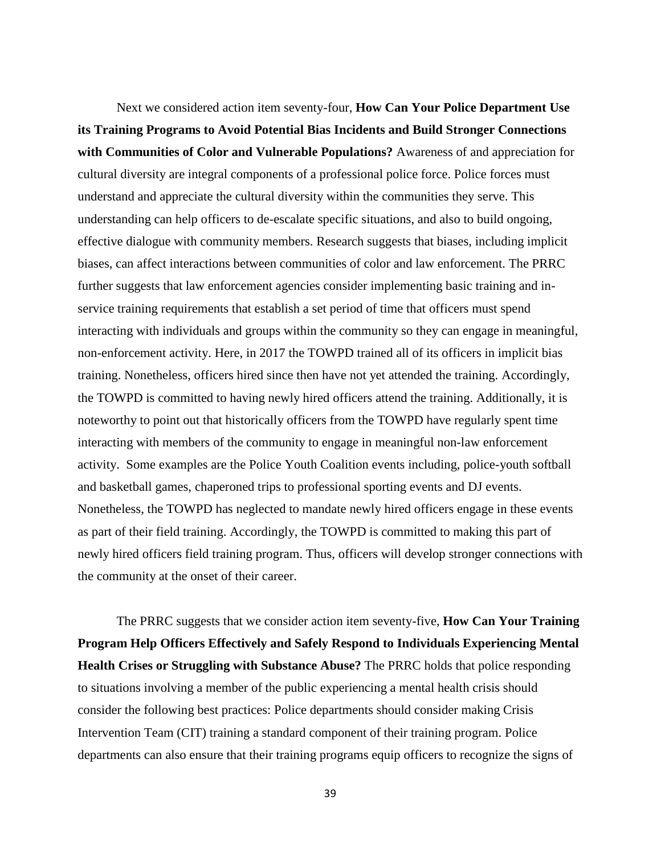Next we considered action item seventy-four, **How Can Your Police Department Use its Training Programs to Avoid Potential Bias Incidents and Build Stronger Connections with Communities of Color and Vulnerable Populations?** Awareness of and appreciation for cultural diversity are integral components of a professional police force. Police forces must understand and appreciate the cultural diversity within the communities they serve. This understanding can help officers to de-escalate specific situations, and also to build ongoing, effective dialogue with community members. Research suggests that biases, including implicit biases, can affect interactions between communities of color and law enforcement. The PRRC further suggests that law enforcement agencies consider implementing basic training and inservice training requirements that establish a set period of time that officers must spend interacting with individuals and groups within the community so they can engage in meaningful, non-enforcement activity. Here, in 2017 the TOWPD trained all of its officers in implicit bias training. Nonetheless, officers hired since then have not yet attended the training. Accordingly, the TOWPD is committed to having newly hired officers attend the training. Additionally, it is noteworthy to point out that historically officers from the TOWPD have regularly spent time interacting with members of the community to engage in meaningful non-law enforcement activity. Some examples are the Police Youth Coalition events including, police-youth softball and basketball games, chaperoned trips to professional sporting events and DJ events. Nonetheless, the TOWPD has neglected to mandate newly hired officers engage in these events as part of their field training. Accordingly, the TOWPD is committed to making this part of newly hired officers field training program. Thus, officers will develop stronger connections with the community at the onset of their career.

The PRRC suggests that we consider action item seventy-five, **How Can Your Training Program Help Officers Effectively and Safely Respond to Individuals Experiencing Mental Health Crises or Struggling with Substance Abuse?** The PRRC holds that police responding to situations involving a member of the public experiencing a mental health crisis should consider the following best practices: Police departments should consider making Crisis Intervention Team (CIT) training a standard component of their training program. Police departments can also ensure that their training programs equip officers to recognize the signs of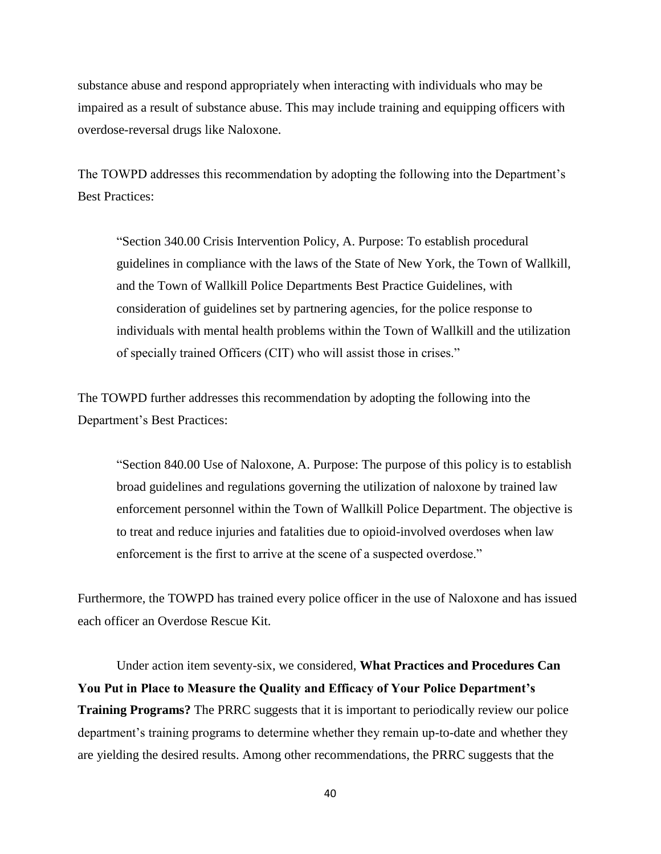substance abuse and respond appropriately when interacting with individuals who may be impaired as a result of substance abuse. This may include training and equipping officers with overdose-reversal drugs like Naloxone.

The TOWPD addresses this recommendation by adopting the following into the Department's Best Practices:

"Section 340.00 Crisis Intervention Policy, A. Purpose: To establish procedural guidelines in compliance with the laws of the State of New York, the Town of Wallkill, and the Town of Wallkill Police Departments Best Practice Guidelines, with consideration of guidelines set by partnering agencies, for the police response to individuals with mental health problems within the Town of Wallkill and the utilization of specially trained Officers (CIT) who will assist those in crises."

The TOWPD further addresses this recommendation by adopting the following into the Department's Best Practices:

"Section 840.00 Use of Naloxone, A. Purpose: The purpose of this policy is to establish broad guidelines and regulations governing the utilization of naloxone by trained law enforcement personnel within the Town of Wallkill Police Department. The objective is to treat and reduce injuries and fatalities due to opioid-involved overdoses when law enforcement is the first to arrive at the scene of a suspected overdose."

Furthermore, the TOWPD has trained every police officer in the use of Naloxone and has issued each officer an Overdose Rescue Kit.

Under action item seventy-six, we considered, **What Practices and Procedures Can You Put in Place to Measure the Quality and Efficacy of Your Police Department's Training Programs?** The PRRC suggests that it is important to periodically review our police department's training programs to determine whether they remain up-to-date and whether they are yielding the desired results. Among other recommendations, the PRRC suggests that the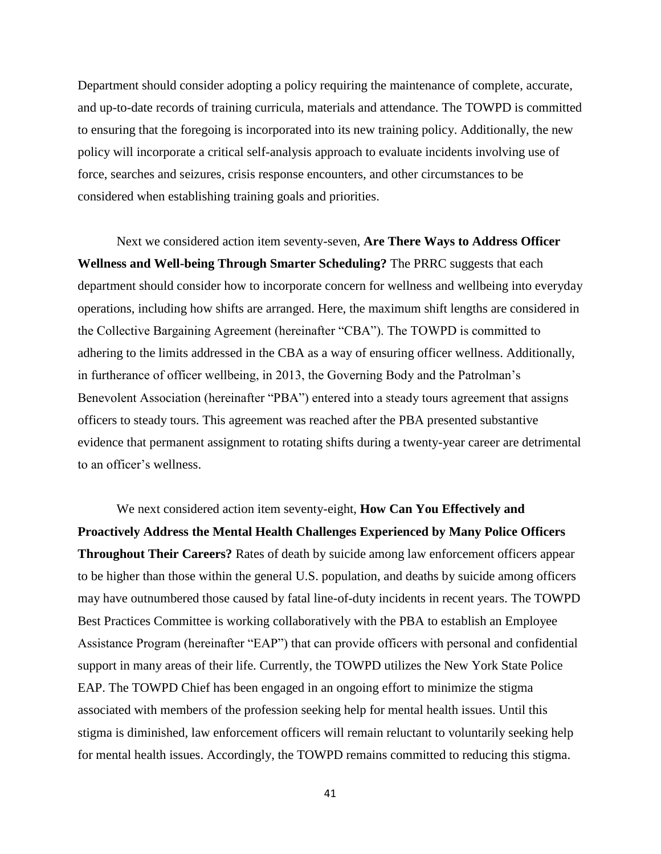Department should consider adopting a policy requiring the maintenance of complete, accurate, and up-to-date records of training curricula, materials and attendance. The TOWPD is committed to ensuring that the foregoing is incorporated into its new training policy. Additionally, the new policy will incorporate a critical self-analysis approach to evaluate incidents involving use of force, searches and seizures, crisis response encounters, and other circumstances to be considered when establishing training goals and priorities.

Next we considered action item seventy-seven, **Are There Ways to Address Officer Wellness and Well-being Through Smarter Scheduling?** The PRRC suggests that each department should consider how to incorporate concern for wellness and wellbeing into everyday operations, including how shifts are arranged. Here, the maximum shift lengths are considered in the Collective Bargaining Agreement (hereinafter "CBA"). The TOWPD is committed to adhering to the limits addressed in the CBA as a way of ensuring officer wellness. Additionally, in furtherance of officer wellbeing, in 2013, the Governing Body and the Patrolman's Benevolent Association (hereinafter "PBA") entered into a steady tours agreement that assigns officers to steady tours. This agreement was reached after the PBA presented substantive evidence that permanent assignment to rotating shifts during a twenty-year career are detrimental to an officer's wellness.

We next considered action item seventy-eight, **How Can You Effectively and Proactively Address the Mental Health Challenges Experienced by Many Police Officers Throughout Their Careers?** Rates of death by suicide among law enforcement officers appear to be higher than those within the general U.S. population, and deaths by suicide among officers may have outnumbered those caused by fatal line-of-duty incidents in recent years. The TOWPD Best Practices Committee is working collaboratively with the PBA to establish an Employee Assistance Program (hereinafter "EAP") that can provide officers with personal and confidential support in many areas of their life. Currently, the TOWPD utilizes the New York State Police EAP. The TOWPD Chief has been engaged in an ongoing effort to minimize the stigma associated with members of the profession seeking help for mental health issues. Until this stigma is diminished, law enforcement officers will remain reluctant to voluntarily seeking help for mental health issues. Accordingly, the TOWPD remains committed to reducing this stigma.